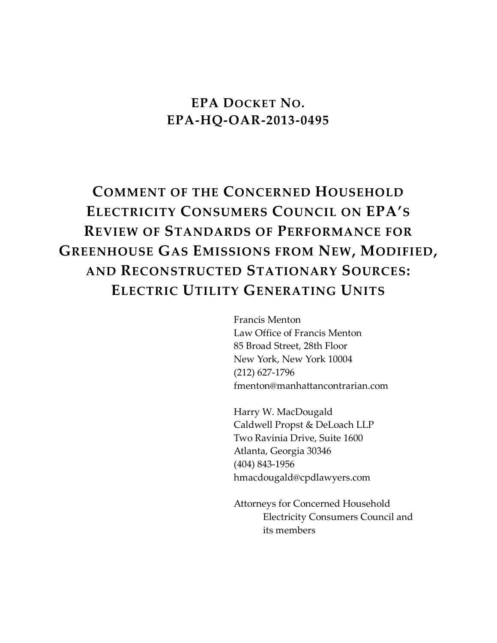## **EPA DOCKET NO. EPA-HQ-OAR-2013-0495**

# **COMMENT OF THE CONCERNED HOUSEHOLD ELECTRICITY CONSUMERS COUNCIL ON EPA'S REVIEW OF STANDARDS OF PERFORMANCE FOR GREENHOUSE GAS EMISSIONS FROM NEW, MODIFIED, AND RECONSTRUCTED STATIONARY SOURCES: ELECTRIC UTILITY GENERATING UNITS**

Francis Menton Law Office of Francis Menton 85 Broad Street, 28th Floor New York, New York 10004 (212) 627-1796 fmenton@manhattancontrarian.com

Harry W. MacDougald Caldwell Propst & DeLoach LLP Two Ravinia Drive, Suite 1600 Atlanta, Georgia 30346 (404) 843-1956 hmacdougald@cpdlawyers.com

Attorneys for Concerned Household Electricity Consumers Council and its members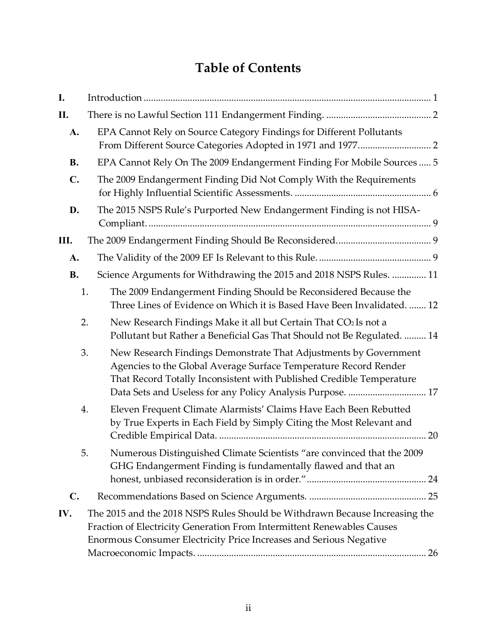## **Table of Contents**

| I.             |                                                                                                                                                                                                                                                                                  |
|----------------|----------------------------------------------------------------------------------------------------------------------------------------------------------------------------------------------------------------------------------------------------------------------------------|
| П.             |                                                                                                                                                                                                                                                                                  |
| A.             | EPA Cannot Rely on Source Category Findings for Different Pollutants                                                                                                                                                                                                             |
| <b>B.</b>      | EPA Cannot Rely On The 2009 Endangerment Finding For Mobile Sources  5                                                                                                                                                                                                           |
| $\mathbf{C}$ . | The 2009 Endangerment Finding Did Not Comply With the Requirements                                                                                                                                                                                                               |
| D.             | The 2015 NSPS Rule's Purported New Endangerment Finding is not HISA-                                                                                                                                                                                                             |
| Ш.             |                                                                                                                                                                                                                                                                                  |
| A.             |                                                                                                                                                                                                                                                                                  |
| <b>B.</b>      | Science Arguments for Withdrawing the 2015 and 2018 NSPS Rules.  11                                                                                                                                                                                                              |
|                | 1.<br>The 2009 Endangerment Finding Should be Reconsidered Because the<br>Three Lines of Evidence on Which it is Based Have Been Invalidated.  12                                                                                                                                |
|                | New Research Findings Make it all but Certain That CO2 Is not a<br>2.<br>Pollutant but Rather a Beneficial Gas That Should not Be Regulated.  14                                                                                                                                 |
|                | New Research Findings Demonstrate That Adjustments by Government<br>3.<br>Agencies to the Global Average Surface Temperature Record Render<br>That Record Totally Inconsistent with Published Credible Temperature<br>Data Sets and Useless for any Policy Analysis Purpose.  17 |
|                | Eleven Frequent Climate Alarmists' Claims Have Each Been Rebutted<br>4.<br>by True Experts in Each Field by Simply Citing the Most Relevant and<br>20                                                                                                                            |
|                | Numerous Distinguished Climate Scientists "are convinced that the 2009<br>5.<br>GHG Endangerment Finding is fundamentally flawed and that an                                                                                                                                     |
| $\mathbf{C}$ . |                                                                                                                                                                                                                                                                                  |
| IV.            | The 2015 and the 2018 NSPS Rules Should be Withdrawn Because Increasing the<br>Fraction of Electricity Generation From Intermittent Renewables Causes<br>Enormous Consumer Electricity Price Increases and Serious Negative                                                      |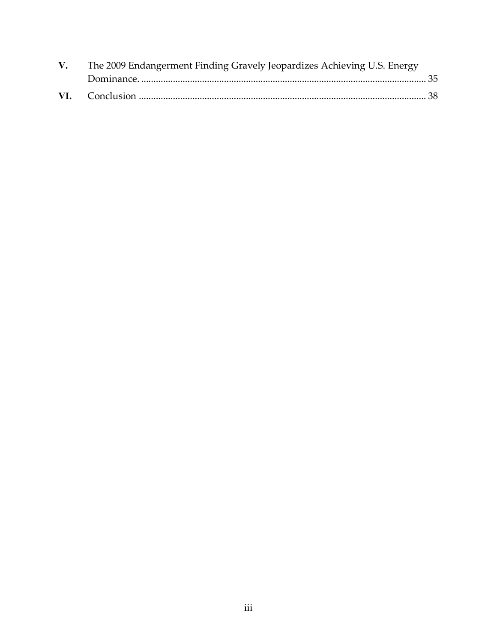| $V_{\cdot}$ | The 2009 Endangerment Finding Gravely Jeopardizes Achieving U.S. Energy |  |
|-------------|-------------------------------------------------------------------------|--|
|             |                                                                         |  |
|             |                                                                         |  |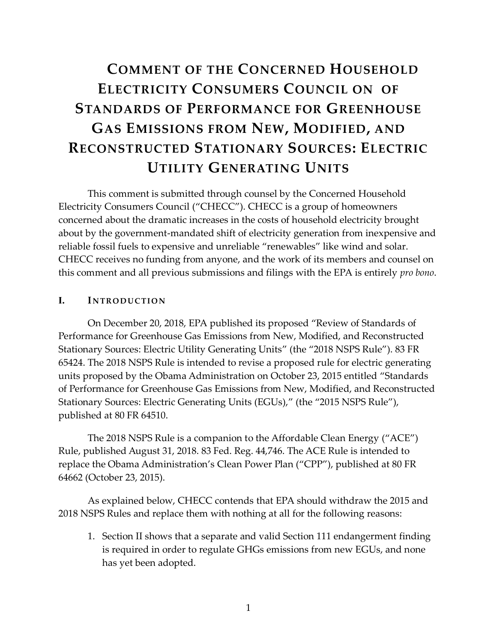# **C[OMMENT OF THE](#page-28-1) CONCERNED HOUSEHOLD E[LECTRICITY](#page-37-1) CONSUMERS C[OUNCIL ON OF](#page-28-1) STANDARDS OF P[ERFORMANCE FOR](#page-28-1) GREENHOUSE GAS E[MISSIONS FROM](#page-28-1) NEW, MODIFIED, AND RECONSTRUCTED STATIONARY SOURCES: ELECTRIC UTILITY GENERATING UNITS**

This comment is submitted through counsel by the Concerned Household Electricity Consumers Council ("CHECC"). CHECC is a group of homeowners concerned about the dramatic increases in the costs of household electricity brought about by the government-mandated shift of electricity generation from inexpensive and reliable fossil fuels to expensive and unreliable "renewables" like wind and solar. CHECC receives no funding from anyone, and the work of its members and counsel on this comment and all previous submissions and filings with the EPA is entirely *pro bono*.

#### <span id="page-3-1"></span><span id="page-3-0"></span>**I. INTRODUCTION**

On December 20, 2018, EPA published its proposed "Review of Standards of Performance for Greenhouse Gas Emissions from New, Modified, and Reconstructed Stationary Sources: Electric Utility Generating Units" (the "2018 NSPS Rule"). 83 FR 65424. The 2018 NSPS Rule is intended to revise a proposed rule for electric generating units proposed by the Obama Administration on October 23, 2015 entitled "Standards of Performance for Greenhouse Gas Emissions from New, Modified, and Reconstructed Stationary Sources: Electric Generating Units (EGUs)," (the "2015 NSPS Rule"), published at 80 FR 64510.

The 2018 NSPS Rule is a companion to the Affordable Clean Energy ("ACE") Rule, published August 31, 2018. 83 Fed. Reg. 44,746. The ACE Rule is intended to replace the Obama Administration's Clean Power Plan ("CPP"), published at 80 FR 64662 (October 23, 2015).

As explained below, CHECC contends that EPA should withdraw the 2015 and 2018 NSPS Rules and replace them with nothing at all for the following reasons:

1. Section [II](#page-4-0) [s](#page-4-2)hows that a separate and valid Section 111 endangerment finding is required in order to regulate GHGs emissions from new EGUs, and none has yet been adopted.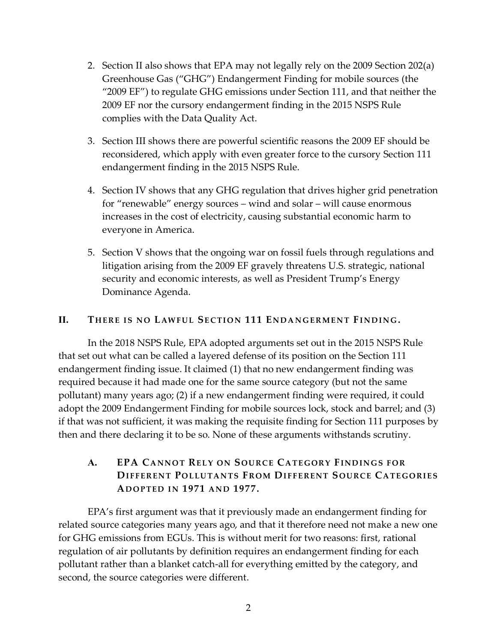- 2. Section II also shows that EPA may not legally rely on the 2009 Section 202(a) Greenhouse Gas ("GHG") Endangerment Finding for mobile sources (the "2009 EF") to regulate GHG emissions under Section 111, and that neither the 2009 EF nor the cursory endangerment finding in the 2015 NSPS Rule complies with the Data Quality Act.
- 3. Section [III](#page-11-1) [sho](#page-11-4)ws there are powerful scientific reasons the 2009 EF should be reconsidered, which apply with even greater force to the cursory Section 111 endangerment finding in the 2015 NSPS Rule.
- 4. Section [IV](#page-28-0) [s](#page-28-1)hows that any GHG regulation that drives higher grid penetration for "renewable" energy sources – wind and solar – will cause enormous increases in the cost of electricity, causing substantial economic harm to everyone in America.
- <span id="page-4-2"></span>5. Section [V](#page-37-0) shows that the ongoing war on fossil fuels through regulations and litigation arising from the 2009 EF gravely threatens U.S. strategic, national security and economic interests, as well as President Trump's Energy Dominance Agenda.

#### <span id="page-4-0"></span>**II. THERE IS NO LAWFUL SECTION 111 ENDANGERMENT FINDING.**

In the 2018 NSPS Rule, EPA adopted arguments set out in the 2015 NSPS Rule that set out what can be called a layered defense of its position on the Section 111 endangerment finding issue. It claimed (1) that no new endangerment finding was required because it had made one for the same source category (but not the same pollutant) many years ago; (2) if a new endangerment finding were required, it could adopt the 2009 Endangerment Finding for mobile sources lock, stock and barrel; and (3) if that was not sufficient, it was making the requisite finding for Section 111 purposes by then and there declaring it to be so. None of these arguments withstands scrutiny.

## <span id="page-4-3"></span><span id="page-4-1"></span>**A. EPA CA NN O T RE L Y ON SOU R CE CA TE GOR Y FIND IN G S F O R DIFFERENT POLLUTANTS FROM DIFFERENT SOURCE CATEGORIES AD O P TED I N 1971 AN D 1977.**

EPA's first argument was that it previously made an endangerment finding for related source categories many years ago, and that it therefore need not make a new one for GHG emissions from EGUs. This is without merit for two reasons: first, rational regulation of air pollutants by definition requires an endangerment finding for each pollutant rather than a blanket catch-all for everything emitted by the category, and second, the source categories were different.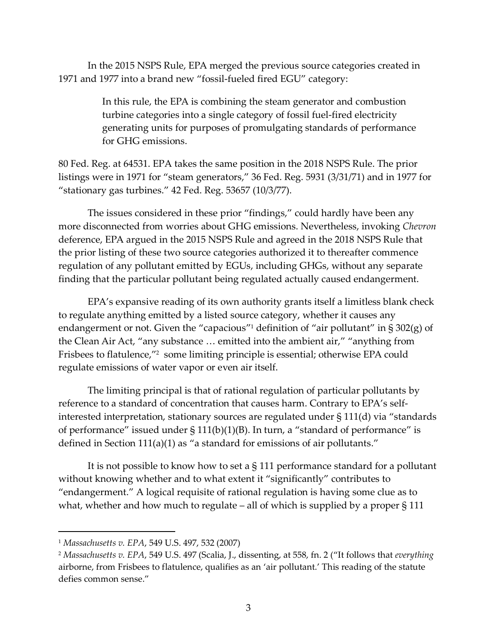In the 2015 NSPS Rule, EPA merged the previous source categories created in 1971 and 1977 into a brand new "fossil-fueled fired EGU" category:

> In this rule, the EPA is combining the steam generator and combustion turbine categories into a single category of fossil fuel-fired electricity generating units for purposes of promulgating standards of performance for GHG emissions.

80 Fed. Reg. at 64531. EPA takes the same position in the 2018 NSPS Rule. The prior listings were in 1971 for "steam generators," 36 Fed. Reg. 5931 (3/31/71) and in 1977 for "stationary gas turbines." 42 Fed. Reg. 53657 (10/3/77).

The issues considered in these prior "findings," could hardly have been any more disconnected from worries about GHG emissions. Nevertheless, invoking *Chevron* deference, EPA argued in the 2015 NSPS Rule and agreed in the 2018 NSPS Rule that the prior listing of these two source categories authorized it to thereafter commence regulation of any pollutant emitted by EGUs, including GHGs, without any separate finding that the particular pollutant being regulated actually caused endangerment.

EPA's expansive reading of its own authority grants itself a limitless blank check to regulate anything emitted by a listed source category, whether it causes any endangerment or not. Given the "capacious" <sup>1</sup> definition of "air pollutant" in § 302(g) of the Clean Air Act, "any substance … emitted into the ambient air," "anything from Frisbees to flatulence,"<sup>2</sup> some limiting principle is essential; otherwise EPA could regulate emissions of water vapor or even air itself.

The limiting principal is that of rational regulation of particular pollutants by reference to a standard of concentration that causes harm. Contrary to EPA's selfinterested interpretation, stationary sources are regulated under § 111(d) via "standards of performance" issued under  $\S 111(b)(1)(B)$ . In turn, a "standard of performance" is defined in Section 111(a)(1) as "a standard for emissions of air pollutants."

It is not possible to know how to set a § 111 performance standard for a pollutant without knowing whether and to what extent it "significantly" contributes to "endangerment." A logical requisite of rational regulation is having some clue as to what, whether and how much to regulate – all of which is supplied by a proper § 111

<sup>1</sup> *Massachusetts v. EPA*, 549 U.S. 497, 532 (2007)

<sup>2</sup> *Massachusetts v. EPA*, 549 U.S. 497 (Scalia, J., dissenting, at 558, fn. 2 ("It follows that *everything*  airborne, from Frisbees to flatulence, qualifies as an 'air pollutant.' This reading of the statute defies common sense."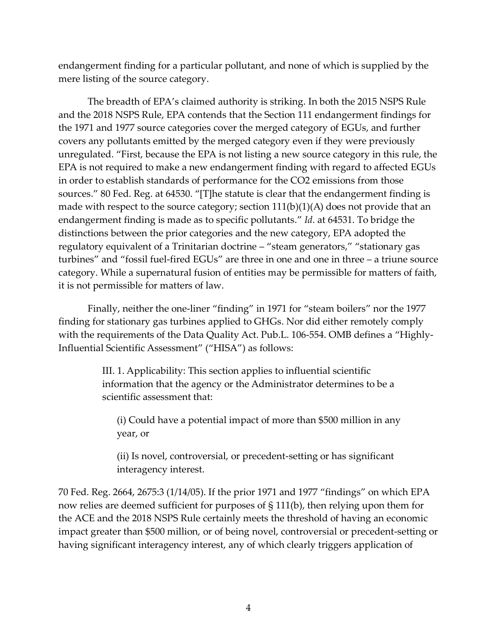endangerment finding for a particular pollutant, and none of which is supplied by the mere listing of the source category.

The breadth of EPA's claimed authority is striking. In both the 2015 NSPS Rule and the 2018 NSPS Rule, EPA contends that the Section 111 endangerment findings for the 1971 and 1977 source categories cover the merged category of EGUs, and further covers any pollutants emitted by the merged category even if they were previously unregulated. "First, because the EPA is not listing a new source category in this rule, the EPA is not required to make a new endangerment finding with regard to affected EGUs in order to establish standards of performance for the CO2 emissions from those sources." 80 Fed. Reg. at 64530. "[T]he statute is clear that the endangerment finding is made with respect to the source category; section  $111(b)(1)(A)$  does not provide that an endangerment finding is made as to specific pollutants." *Id*. at 64531. To bridge the distinctions between the prior categories and the new category, EPA adopted the regulatory equivalent of a Trinitarian doctrine – "steam generators," "stationary gas turbines" and "fossil fuel-fired EGUs" are three in one and one in three – a triune source category. While a supernatural fusion of entities may be permissible for matters of faith, it is not permissible for matters of law.

Finally, neither the one-liner "finding" in 1971 for "steam boilers" nor the 1977 finding for stationary gas turbines applied to GHGs. Nor did either remotely comply with the requirements of the Data Quality Act. Pub.L. 106-554. OMB defines a "Highly-Influential Scientific Assessment" ("HISA") as follows:

> III. 1. Applicability: This section applies to influential scientific information that the agency or the Administrator determines to be a scientific assessment that:

(i) Could have a potential impact of more than \$500 million in any year, or

(ii) Is novel, controversial, or precedent-setting or has significant interagency interest.

70 Fed. Reg. 2664, 2675:3 (1/14/05). If the prior 1971 and 1977 "findings" on which EPA now relies are deemed sufficient for purposes of § 111(b), then relying upon them for the ACE and the 2018 NSPS Rule certainly meets the threshold of having an economic impact greater than \$500 million, or of being novel, controversial or precedent-setting or having significant interagency interest, any of which clearly triggers application of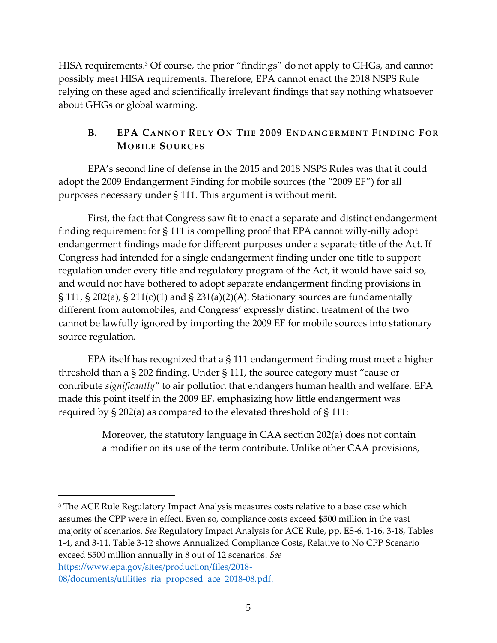HISA requirements.<sup>3</sup> Of course, the prior "findings" do not apply to GHGs, and cannot possibly meet HISA requirements. Therefore, EPA cannot enact the 2018 NSPS Rule relying on these aged and scientifically irrelevant findings that say nothing whatsoever about GHGs or global warming.

## <span id="page-7-1"></span><span id="page-7-0"></span>**B. EPA** CANNOT RELY ON THE 2009 ENDANGERMENT FINDING FOR **MO B I LE SO U R CE S**

EPA's second line of defense in the 2015 and 2018 NSPS Rules was that it could adopt the 2009 Endangerment Finding for mobile sources (the "2009 EF") for all purposes necessary under § 111. This argument is without merit.

First, the fact that Congress saw fit to enact a separate and distinct endangerment finding requirement for § 111 is compelling proof that EPA cannot willy-nilly adopt endangerment findings made for different purposes under a separate title of the Act. If Congress had intended for a single endangerment finding under one title to support regulation under every title and regulatory program of the Act, it would have said so, and would not have bothered to adopt separate endangerment finding provisions in § 111, § 202(a), § 211(c)(1) and § 231(a)(2)(A). Stationary sources are fundamentally different from automobiles, and Congress' expressly distinct treatment of the two cannot be lawfully ignored by importing the 2009 EF for mobile sources into stationary source regulation.

EPA itself has recognized that a § 111 endangerment finding must meet a higher threshold than a § 202 finding. Under § 111, the source category must "cause or contribute *significantly"* to air pollution that endangers human health and welfare. EPA made this point itself in the 2009 EF, emphasizing how little endangerment was required by § 202(a) as compared to the elevated threshold of § 111:

> Moreover, the statutory language in CAA section 202(a) does not contain a modifier on its use of the term contribute. Unlike other CAA provisions,

[https://www.epa.gov/sites/production/files/2018-](https://www.epa.gov/sites/production/files/2018-08/documents/utilities_ria_proposed_ace_2018-08.pdf) 08/documents/utilities ria proposed ace 2018-08.pdf.

<sup>&</sup>lt;sup>3</sup> The ACE Rule Regulatory Impact Analysis measures costs relative to a base case which assumes the CPP were in effect. Even so, compliance costs exceed \$500 million in the vast majority of scenarios. *See* Regulatory Impact Analysis for ACE Rule, pp. ES-6, 1-16, 3-18, Tables 1-4, and 3-11. Table 3-12 shows Annualized Compliance Costs, Relative to No CPP Scenario exceed \$500 million annually in 8 out of 12 scenarios. *See*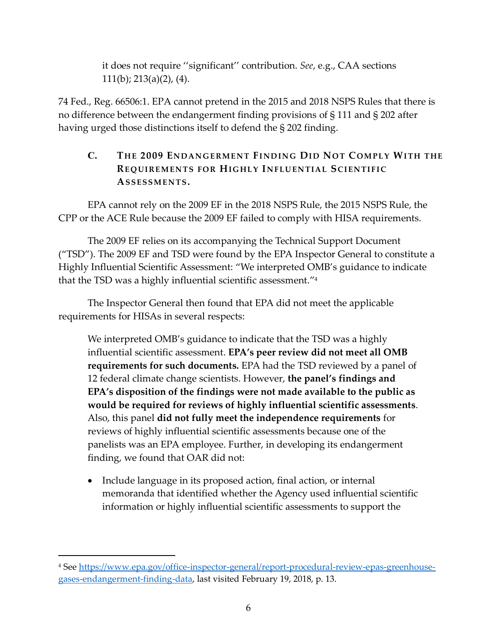it does not require ''significant'' contribution. *See*, e.g., CAA sections 111(b); 213(a)(2), (4).

74 Fed., Reg. 66506:1. EPA cannot pretend in the 2015 and 2018 NSPS Rules that there is no difference between the endangerment finding provisions of § 111 and § 202 after having urged those distinctions itself to defend the § 202 finding.

## <span id="page-8-1"></span><span id="page-8-0"></span>**C. TH E 2009 EN DAN G E RM E N T FI ND IN G DI D NO T C OM P L Y WI TH THE REQUIREMENTS FOR HIGHLY INFLUENTIAL SCIENTIFIC AS S E S S M E N TS.**

EPA cannot rely on the 2009 EF in the 2018 NSPS Rule, the 2015 NSPS Rule, the CPP or the ACE Rule because the 2009 EF failed to comply with HISA requirements.

The 2009 EF relies on its accompanying the Technical Support Document ("TSD"). The 2009 EF and TSD were found by the EPA Inspector General to constitute a Highly Influential Scientific Assessment: "We interpreted OMB's guidance to indicate that the TSD was a highly influential scientific assessment." 4

The Inspector General then found that EPA did not meet the applicable requirements for HISAs in several respects:

We interpreted OMB's guidance to indicate that the TSD was a highly influential scientific assessment. **EPA's peer review did not meet all OMB requirements for such documents.** EPA had the TSD reviewed by a panel of 12 federal climate change scientists. However, **the panel's findings and EPA's disposition of the findings were not made available to the public as would be required for reviews of highly influential scientific assessments**. Also, this panel **did not fully meet the independence requirements** for reviews of highly influential scientific assessments because one of the panelists was an EPA employee. Further, in developing its endangerment finding, we found that OAR did not:

• Include language in its proposed action, final action, or internal memoranda that identified whether the Agency used influential scientific information or highly influential scientific assessments to support the

<sup>4</sup> See [https://www.epa.gov/office-inspector-general/report-procedural-review-epas-greenhouse](https://www.epa.gov/office-inspector-general/report-procedural-review-epas-greenhouse-gases-endangerment-finding-data)[gases-endangerment-finding-data,](https://www.epa.gov/office-inspector-general/report-procedural-review-epas-greenhouse-gases-endangerment-finding-data) last visited February 19, 2018, p. 13.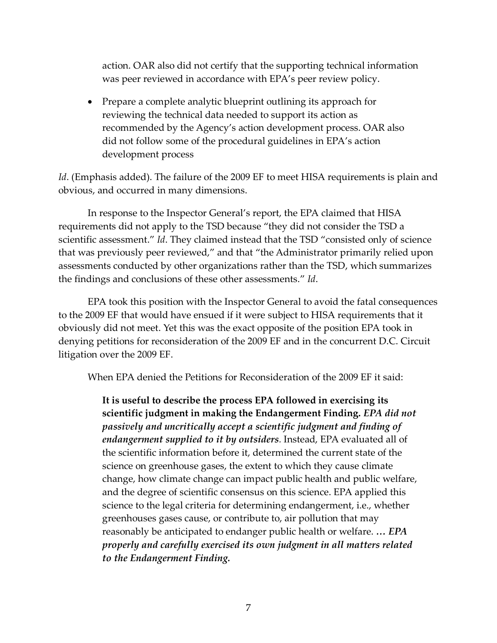action. OAR also did not certify that the supporting technical information was peer reviewed in accordance with EPA's peer review policy.

• Prepare a complete analytic blueprint outlining its approach for reviewing the technical data needed to support its action as recommended by the Agency's action development process. OAR also did not follow some of the procedural guidelines in EPA's action development process

*Id.* (Emphasis added). The failure of the 2009 EF to meet HISA requirements is plain and obvious, and occurred in many dimensions.

In response to the Inspector General's report, the EPA claimed that HISA requirements did not apply to the TSD because "they did not consider the TSD a scientific assessment." *Id*. They claimed instead that the TSD "consisted only of science that was previously peer reviewed," and that "the Administrator primarily relied upon assessments conducted by other organizations rather than the TSD, which summarizes the findings and conclusions of these other assessments." *Id*.

EPA took this position with the Inspector General to avoid the fatal consequences to the 2009 EF that would have ensued if it were subject to HISA requirements that it obviously did not meet. Yet this was the exact opposite of the position EPA took in denying petitions for reconsideration of the 2009 EF and in the concurrent D.C. Circuit litigation over the 2009 EF.

When EPA denied the Petitions for Reconsideration of the 2009 EF it said:

**It is useful to describe the process EPA followed in exercising its scientific judgment in making the Endangerment Finding.** *EPA did not passively and uncritically accept a scientific judgment and finding of endangerment supplied to it by outsiders.* Instead, EPA evaluated all of the scientific information before it, determined the current state of the science on greenhouse gases, the extent to which they cause climate change, how climate change can impact public health and public welfare, and the degree of scientific consensus on this science. EPA applied this science to the legal criteria for determining endangerment, i.e., whether greenhouses gases cause, or contribute to, air pollution that may reasonably be anticipated to endanger public health or welfare. *… EPA properly and carefully exercised its own judgment in all matters related to the Endangerment Finding.*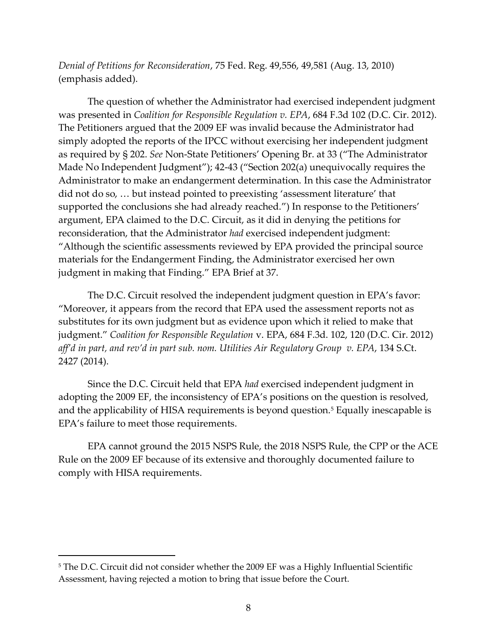*Denial of Petitions for Reconsideration*, 75 Fed. Reg. 49,556, 49,581 (Aug. 13, 2010) (emphasis added).

The question of whether the Administrator had exercised independent judgment was presented in *Coalition for Responsible Regulation v. EPA*, 684 F.3d 102 (D.C. Cir. 2012). The Petitioners argued that the 2009 EF was invalid because the Administrator had simply adopted the reports of the IPCC without exercising her independent judgment as required by § 202. *See* Non-State Petitioners' Opening Br. at 33 ("The Administrator Made No Independent Judgment"); 42-43 ("Section 202(a) unequivocally requires the Administrator to make an endangerment determination. In this case the Administrator did not do so, … but instead pointed to preexisting 'assessment literature' that supported the conclusions she had already reached.") In response to the Petitioners' argument, EPA claimed to the D.C. Circuit, as it did in denying the petitions for reconsideration, that the Administrator *had* exercised independent judgment: "Although the scientific assessments reviewed by EPA provided the principal source materials for the Endangerment Finding, the Administrator exercised her own judgment in making that Finding." EPA Brief at 37.

The D.C. Circuit resolved the independent judgment question in EPA's favor: "Moreover, it appears from the record that EPA used the assessment reports not as substitutes for its own judgment but as evidence upon which it relied to make that judgment." *Coalition for Responsible Regulation* v. EPA, 684 F.3d. 102, 120 (D.C. Cir. 2012) *aff'd in part, and rev'd in part sub. nom. Utilities Air Regulatory Group v. EPA*, 134 S.Ct. 2427 (2014).

Since the D.C. Circuit held that EPA *had* exercised independent judgment in adopting the 2009 EF, the inconsistency of EPA's positions on the question is resolved, and the applicability of HISA requirements is beyond question. <sup>5</sup> Equally inescapable is EPA's failure to meet those requirements.

EPA cannot ground the 2015 NSPS Rule, the 2018 NSPS Rule, the CPP or the ACE Rule on the 2009 EF because of its extensive and thoroughly documented failure to comply with HISA requirements.

<sup>&</sup>lt;sup>5</sup> The D.C. Circuit did not consider whether the 2009 EF was a Highly Influential Scientific Assessment, having rejected a motion to bring that issue before the Court.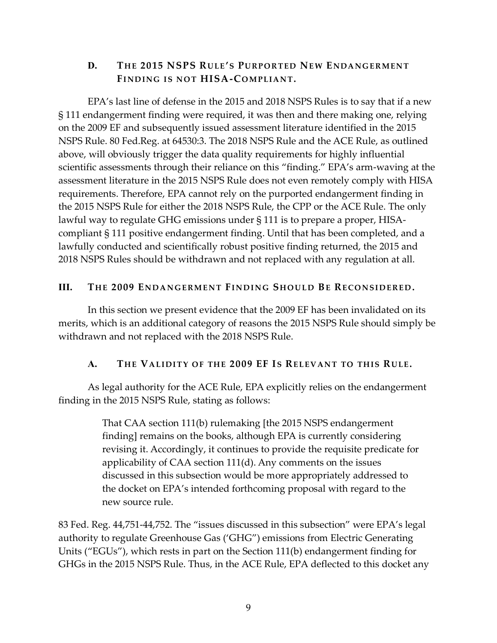#### <span id="page-11-3"></span><span id="page-11-0"></span>**D. TH E 2015 NSPS RU LE'S PU R P O R TED NE W ENDA NG E R M EN T**  FINDING IS NOT **HISA-COMPLIANT**.

EPA's last line of defense in the 2015 and 2018 NSPS Rules is to say that if a new § 111 endangerment finding were required, it was then and there making one, relying on the 2009 EF and subsequently issued assessment literature identified in the 2015 NSPS Rule. 80 Fed.Reg. at 64530:3. The 2018 NSPS Rule and the ACE Rule, as outlined above, will obviously trigger the data quality requirements for highly influential scientific assessments through their reliance on this "finding." EPA's arm-waving at the assessment literature in the 2015 NSPS Rule does not even remotely comply with HISA requirements. Therefore, EPA cannot rely on the purported endangerment finding in the 2015 NSPS Rule for either the 2018 NSPS Rule, the CPP or the ACE Rule. The only lawful way to regulate GHG emissions under § 111 is to prepare a proper, HISAcompliant § 111 positive endangerment finding. Until that has been completed, and a lawfully conducted and scientifically robust positive finding returned, the 2015 and 2018 NSPS Rules should be withdrawn and not replaced with any regulation at all.

#### <span id="page-11-1"></span>**III.** THE 2009 ENDANGERMENT FINDING SHOULD BE RECONSIDERED.

In this section we present evidence that the 2009 EF has been invalidated on its merits, which is an additional category of reasons the 2015 NSPS Rule should simply be withdrawn and not replaced with the 2018 NSPS Rule.

#### <span id="page-11-4"></span>**A. TH E VA LI DI TY O F TH E 2009 EF IS RE L EV AN T TO TH I S RU LE.**

<span id="page-11-2"></span>As legal authority for the ACE Rule, EPA explicitly relies on the endangerment finding in the 2015 NSPS Rule, stating as follows:

> <span id="page-11-5"></span>That CAA section 111(b) rulemaking [the 2015 NSPS endangerment finding] remains on the books, although EPA is currently considering revising it. Accordingly, it continues to provide the requisite predicate for applicability of CAA section 111(d). Any comments on the issues discussed in this subsection would be more appropriately addressed to the docket on EPA's intended forthcoming proposal with regard to the new source rule.

83 Fed. Reg. 44,751-44,752. The "issues discussed in this subsection" were EPA's legal authority to regulate Greenhouse Gas ('GHG") emissions from Electric Generating Units ("EGUs"), which rests in part on the Section 111(b) endangerment finding for GHGs in the 2015 NSPS Rule. Thus, in the ACE Rule, EPA deflected to this docket any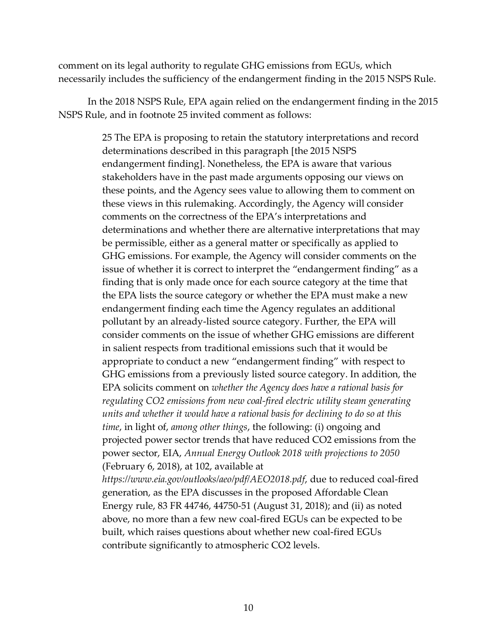comment on its legal authority to regulate GHG emissions from EGUs, which necessarily includes the sufficiency of the endangerment finding in the 2015 NSPS Rule.

In the 2018 NSPS Rule, EPA again relied on the endangerment finding in the 2015 NSPS Rule, and in footnote 25 invited comment as follows:

> 25 The EPA is proposing to retain the statutory interpretations and record determinations described in this paragraph [the 2015 NSPS endangerment finding]. Nonetheless, the EPA is aware that various stakeholders have in the past made arguments opposing our views on these points, and the Agency sees value to allowing them to comment on these views in this rulemaking. Accordingly, the Agency will consider comments on the correctness of the EPA's interpretations and determinations and whether there are alternative interpretations that may be permissible, either as a general matter or specifically as applied to GHG emissions. For example, the Agency will consider comments on the issue of whether it is correct to interpret the "endangerment finding" as a finding that is only made once for each source category at the time that the EPA lists the source category or whether the EPA must make a new endangerment finding each time the Agency regulates an additional pollutant by an already-listed source category. Further, the EPA will consider comments on the issue of whether GHG emissions are different in salient respects from traditional emissions such that it would be appropriate to conduct a new "endangerment finding" with respect to GHG emissions from a previously listed source category. In addition, the EPA solicits comment on *whether the Agency does have a rational basis for regulating CO2 emissions from new coal-fired electric utility steam generating units and whether it would have a rational basis for declining to do so at this time*, in light of, *among other things*, the following: (i) ongoing and projected power sector trends that have reduced CO2 emissions from the power sector, EIA, *Annual Energy Outlook 2018 with projections to 2050*  (February 6, 2018), at 102, available at

> *https://www.eia.gov/outlooks/aeo/pdf/AEO2018.pdf*, due to reduced coal-fired generation, as the EPA discusses in the proposed Affordable Clean Energy rule, 83 FR 44746, 44750-51 (August 31, 2018); and (ii) as noted above, no more than a few new coal-fired EGUs can be expected to be built, which raises questions about whether new coal-fired EGUs contribute significantly to atmospheric CO2 levels.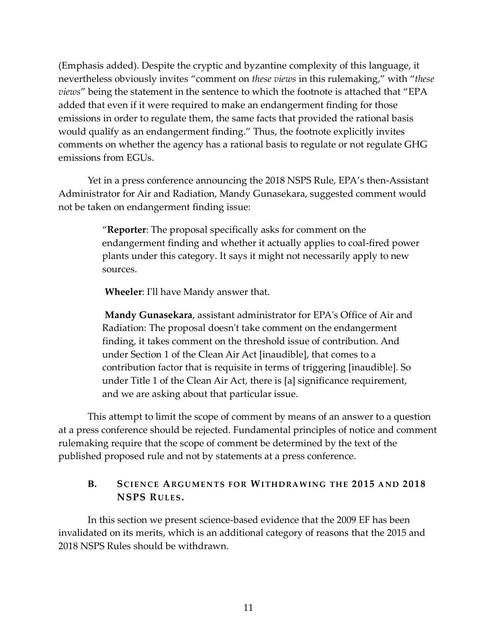(Emphasis added). Despite the cryptic and byzantine complexity of this language, it nevertheless obviously invites "comment on *these views* in this rulemaking," with "*these views*" being the statement in the sentence to which the footnote is attached that "EPA added that even if it were required to make an endangerment finding for those emissions in order to regulate them, the same facts that provided the rational basis would qualify as an endangerment finding." Thus, the footnote explicitly invites comments on whether the agency has a rational basis to regulate or not regulate GHG emissions from EGUs.

Yet in a press conference announcing the 2018 NSPS Rule, EPA's then-Assistant Administrator for Air and Radiation, Mandy Gunasekara, suggested comment would not be taken on endangerment finding issue:

> "**Reporter**: The proposal specifically asks for comment on the endangerment finding and whether it actually applies to coal-fired power plants under this category. It says it might not necessarily apply to new sources.

**Wheeler**: I'll have Mandy answer that.

**Mandy Gunasekara**, assistant administrator for EPA's Office of Air and Radiation: The proposal doesn't take comment on the endangerment finding, it takes comment on the threshold issue of contribution. And under Section 1 of the Clean Air Act [inaudible], that comes to a contribution factor that is requisite in terms of triggering [inaudible]. So under Title 1 of the Clean Air Act, there is [a] significance requirement, and we are asking about that particular issue.

This attempt to limit the scope of comment by means of an answer to a question at a press conference should be rejected. Fundamental principles of notice and comment rulemaking require that the scope of comment be determined by the text of the published proposed rule and not by statements at a press conference.

#### <span id="page-13-1"></span><span id="page-13-0"></span>**B. SCI E N CE ARGU M E N TS FO R WI THD RA W ING TH E 2015 A ND 2018 NSPS RU LE S.**

In this section we present science-based evidence that the 2009 EF has been invalidated on its merits, which is an additional category of reasons that the 2015 and 2018 NSPS Rules should be withdrawn.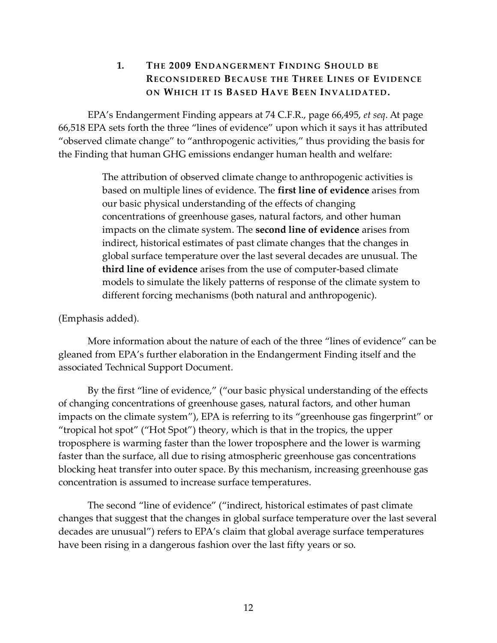#### <span id="page-14-1"></span>**1. THE 2009 ENDANGERMENT FINDING SHOULD BE RECONSIDERED BECAUSE THE THREE LINES OF EVIDENCE ON WHICH IT IS BASED HAVE BEEN INVALIDATED.**

<span id="page-14-0"></span>EPA's Endangerment Finding appears at 74 C.F.R., page 66,495, *et seq*. At page 66,518 EPA sets forth the three "lines of evidence" upon which it says it has attributed "observed climate change" to "anthropogenic activities," thus providing the basis for the Finding that human GHG emissions endanger human health and welfare:

> The attribution of observed climate change to anthropogenic activities is based on multiple lines of evidence. The **first line of evidence** arises from our basic physical understanding of the effects of changing concentrations of greenhouse gases, natural factors, and other human impacts on the climate system. The **second line of evidence** arises from indirect, historical estimates of past climate changes that the changes in global surface temperature over the last several decades are unusual. The **third line of evidence** arises from the use of computer-based climate models to simulate the likely patterns of response of the climate system to different forcing mechanisms (both natural and anthropogenic).

(Emphasis added).

More information about the nature of each of the three "lines of evidence" can be gleaned from EPA's further elaboration in the Endangerment Finding itself and the associated Technical Support Document.

By the first "line of evidence," ("our basic physical understanding of the effects of changing concentrations of greenhouse gases, natural factors, and other human impacts on the climate system"), EPA is referring to its "greenhouse gas fingerprint" or "tropical hot spot" ("Hot Spot") theory, which is that in the tropics, the upper troposphere is warming faster than the lower troposphere and the lower is warming faster than the surface, all due to rising atmospheric greenhouse gas concentrations blocking heat transfer into outer space. By this mechanism, increasing greenhouse gas concentration is assumed to increase surface temperatures.

The second "line of evidence" ("indirect, historical estimates of past climate changes that suggest that the changes in global surface temperature over the last several decades are unusual") refers to EPA's claim that global average surface temperatures have been rising in a dangerous fashion over the last fifty years or so.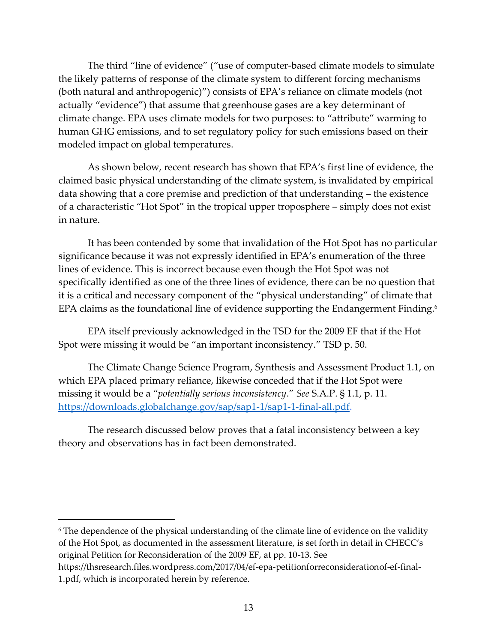The third "line of evidence" ("use of computer-based climate models to simulate the likely patterns of response of the climate system to different forcing mechanisms (both natural and anthropogenic)") consists of EPA's reliance on climate models (not actually "evidence") that assume that greenhouse gases are a key determinant of climate change. EPA uses climate models for two purposes: to "attribute" warming to human GHG emissions, and to set regulatory policy for such emissions based on their modeled impact on global temperatures.

As shown below, recent research has shown that EPA's first line of evidence, the claimed basic physical understanding of the climate system, is invalidated by empirical data showing that a core premise and prediction of that understanding – the existence of a characteristic "Hot Spot" in the tropical upper troposphere – simply does not exist in nature.

It has been contended by some that invalidation of the Hot Spot has no particular significance because it was not expressly identified in EPA's enumeration of the three lines of evidence. This is incorrect because even though the Hot Spot was not specifically identified as one of the three lines of evidence, there can be no question that it is a critical and necessary component of the "physical understanding" of climate that EPA claims as the foundational line of evidence supporting the Endangerment Finding.<sup>6</sup>

EPA itself previously acknowledged in the TSD for the 2009 EF that if the Hot Spot were missing it would be "an important inconsistency." TSD p. 50.

The Climate Change Science Program, Synthesis and Assessment Product 1.1, on which EPA placed primary reliance, likewise conceded that if the Hot Spot were missing it would be a "*potentially serious inconsistency*." *See* S.A.P. § 1.1, p. 11. [https://downloads.globalchange.gov/sap/sap1-1/sap1-1-final-all.pdf.](https://downloads.globalchange.gov/sap/sap1-1/sap1-1-final-all.pdf)

The research discussed below proves that a fatal inconsistency between a key theory and observations has in fact been demonstrated.

<sup>6</sup> The dependence of the physical understanding of the climate line of evidence on the validity of the Hot Spot, as documented in the assessment literature, is set forth in detail in CHECC's original Petition for Reconsideration of the 2009 EF, at pp. 10-13. See [https://thsresearch.files.wordpress.com/2017/04/ef-epa-petitionforreconsiderationof-ef-final-](https://thsresearch.files.wordpress.com/2017/04/ef-epa-petitionforreconsiderationof-ef-final-1.pdf)

[<sup>1.</sup>pdf,](https://thsresearch.files.wordpress.com/2017/04/ef-epa-petitionforreconsiderationof-ef-final-1.pdf) which is incorporated herein by reference.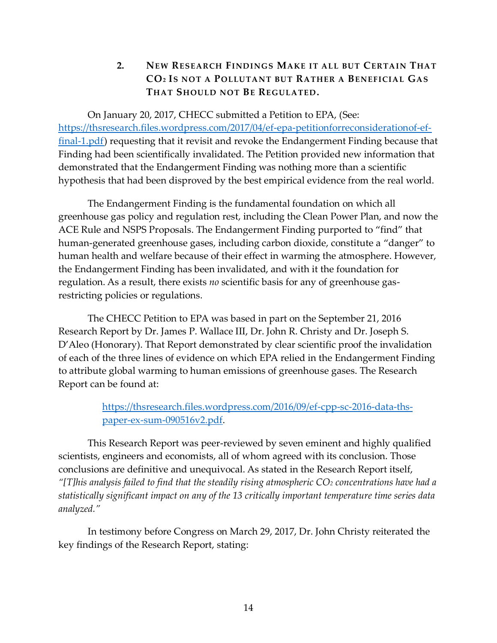## <span id="page-16-1"></span>**2. NEW RESEARCH FINDINGS MAKE IT ALL BUT CERTAIN THAT CO<sup>2</sup> IS NOT A POLLUTANT BUT RATHER A BENEFICIAL GAS THAT SHOULD NOT BE REGULATED.**

<span id="page-16-0"></span>On January 20, 2017, CHECC submitted a Petition to EPA, (See: [https://thsresearch.files.wordpress.com/2017/04/ef-epa-petitionforreconsiderationof-ef](https://thsresearch.files.wordpress.com/2017/04/ef-epa-petitionforreconsiderationof-ef-final-1.pdf)[final-1.pdf\)](https://thsresearch.files.wordpress.com/2017/04/ef-epa-petitionforreconsiderationof-ef-final-1.pdf) requesting that it revisit and revoke the Endangerment Finding because that Finding had been scientifically invalidated. The Petition provided new information that demonstrated that the Endangerment Finding was nothing more than a scientific hypothesis that had been disproved by the best empirical evidence from the real world.

The Endangerment Finding is the fundamental foundation on which all greenhouse gas policy and regulation rest, including the Clean Power Plan, and now the ACE Rule and NSPS Proposals. The Endangerment Finding purported to "find" that human-generated greenhouse gases, including carbon dioxide, constitute a "danger" to human health and welfare because of their effect in warming the atmosphere. However, the Endangerment Finding has been invalidated, and with it the foundation for regulation. As a result, there exists *no* scientific basis for any of greenhouse gasrestricting policies or regulations.

The CHECC Petition to EPA was based in part on the September 21, 2016 Research Report by Dr. James P. Wallace III, Dr. John R. Christy and Dr. Joseph S. D'Aleo (Honorary). That Report demonstrated by clear scientific proof the invalidation of each of the three lines of evidence on which EPA relied in the Endangerment Finding to attribute global warming to human emissions of greenhouse gases. The Research Report can be found at:

> [https://thsresearch.files.wordpress.com/2016/09/ef-cpp-sc-2016-data-ths](https://thsresearch.files.wordpress.com/2016/09/ef-cpp-sc-2016-data-ths-paper-ex-sum-090516v2.pdf)[paper-ex-sum-090516v2.pdf.](https://thsresearch.files.wordpress.com/2016/09/ef-cpp-sc-2016-data-ths-paper-ex-sum-090516v2.pdf)

This Research Report was peer-reviewed by seven eminent and highly qualified scientists, engineers and economists, all of whom agreed with its conclusion. Those conclusions are definitive and unequivocal. As stated in the Research Report itself, *"[T]his analysis failed to find that the steadily rising atmospheric CO<sup>2</sup> concentrations have had a statistically significant impact on any of the 13 critically important temperature time series data analyzed."*

In testimony before Congress on March 29, 2017, Dr. John Christy reiterated the key findings of the Research Report, stating: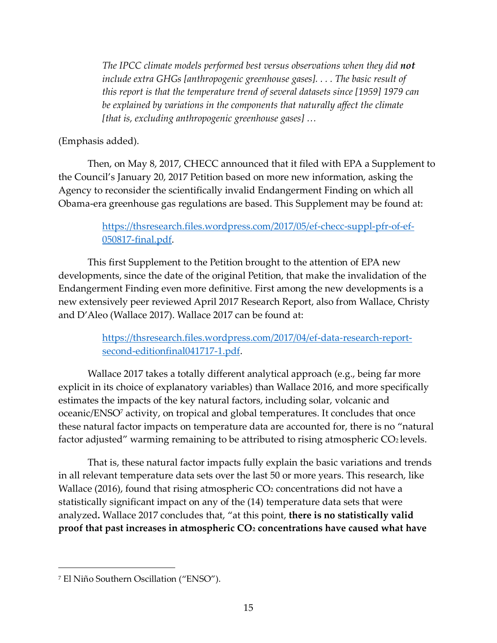*The IPCC climate models performed best versus observations when they did not include extra GHGs [anthropogenic greenhouse gases]. . . . The basic result of this report is that the temperature trend of several datasets since [1959] 1979 can be explained by variations in the components that naturally affect the climate [that is, excluding anthropogenic greenhouse gases] …*

#### (Emphasis added).

Then, on May 8, 2017, CHECC announced that it filed with EPA a Supplement to the Council's January 20, 2017 Petition based on more new information, asking the Agency to reconsider the scientifically invalid Endangerment Finding on which all Obama-era greenhouse gas regulations are based. This Supplement may be found at:

#### [https://thsresearch.files.wordpress.com/2017/05/ef-checc-suppl-pfr-of-ef-](https://thsresearch.files.wordpress.com/2017/05/ef-checc-suppl-pfr-of-ef-050817-final.pdf)[050817-final.pdf.](https://thsresearch.files.wordpress.com/2017/05/ef-checc-suppl-pfr-of-ef-050817-final.pdf)

This first Supplement to the Petition brought to the attention of EPA new developments, since the date of the original Petition, that make the invalidation of the Endangerment Finding even more definitive. First among the new developments is a new extensively peer reviewed April 2017 Research Report, also from Wallace, Christy and D'Aleo (Wallace 2017). Wallace 2017 can be found at:

#### [https://thsresearch.files.wordpress.com/2017/04/ef-data-research-report](https://thsresearch.files.wordpress.com/2017/04/ef-data-research-report-second-editionfinal041717-1.pdf)[second-editionfinal041717-1.pdf.](https://thsresearch.files.wordpress.com/2017/04/ef-data-research-report-second-editionfinal041717-1.pdf)

Wallace 2017 takes a totally different analytical approach (e.g., being far more explicit in its choice of explanatory variables) than Wallace 2016, and more specifically estimates the impacts of the key natural factors, including solar, volcanic and oceanic/ENSO<sup>7</sup> activity, on tropical and global temperatures. It concludes that once these natural factor impacts on temperature data are accounted for, there is no "natural factor adjusted" warming remaining to be attributed to rising atmospheric  $CO<sub>2</sub>$  levels.

That is, these natural factor impacts fully explain the basic variations and trends in all relevant temperature data sets over the last 50 or more years. This research, like Wallace (2016), found that rising atmospheric  $CO<sub>2</sub>$  concentrations did not have a statistically significant impact on any of the (14) temperature data sets that were analyzed**.** Wallace 2017 concludes that, "at this point, **there is no statistically valid proof that past increases in atmospheric CO<sup>2</sup> concentrations have caused what have** 

<sup>7</sup> El Niño Southern Oscillation ("ENSO").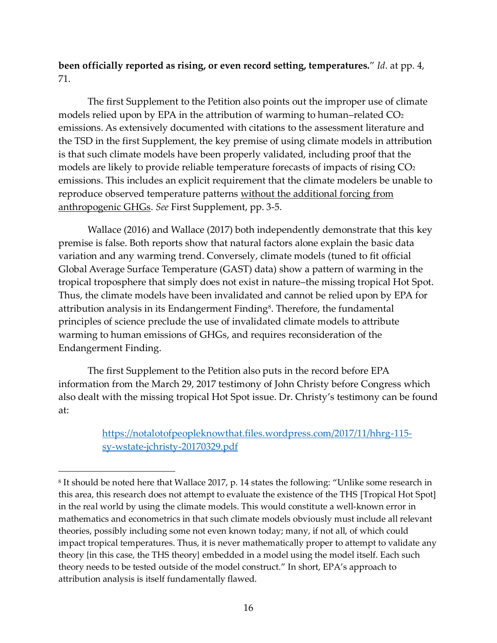**been officially reported as rising, or even record setting, temperatures.**" *Id*. at pp. 4, 71.

The first Supplement to the Petition also points out the improper use of climate models relied upon by EPA in the attribution of warming to human–related  $CO<sub>2</sub>$ emissions. As extensively documented with citations to the assessment literature and the TSD in the first Supplement, the key premise of using climate models in attribution is that such climate models have been properly validated, including proof that the models are likely to provide reliable temperature forecasts of impacts of rising CO<sub>2</sub> emissions. This includes an explicit requirement that the climate modelers be unable to reproduce observed temperature patterns without the additional forcing from anthropogenic GHGs. *See* First Supplement, pp. 3-5.

Wallace (2016) and Wallace (2017) both independently demonstrate that this key premise is false. Both reports show that natural factors alone explain the basic data variation and any warming trend. Conversely, climate models (tuned to fit official Global Average Surface Temperature (GAST) data) show a pattern of warming in the tropical troposphere that simply does not exist in nature–the missing tropical Hot Spot. Thus, the climate models have been invalidated and cannot be relied upon by EPA for attribution analysis in its Endangerment Finding<sup>8</sup>. Therefore, the fundamental principles of science preclude the use of invalidated climate models to attribute warming to human emissions of GHGs, and requires reconsideration of the Endangerment Finding.

The first Supplement to the Petition also puts in the record before EPA information from the March 29, 2017 testimony of John Christy before Congress which also dealt with the missing tropical Hot Spot issue. Dr. Christy's testimony can be found at:

> [https://notalotofpeopleknowthat.files.wordpress.com/2017/11/hhrg-115](https://notalotofpeopleknowthat.files.wordpress.com/2017/11/hhrg-115-sy-wstate-jchristy-20170329.pdf) [sy-wstate-jchristy-20170329.pdf](https://notalotofpeopleknowthat.files.wordpress.com/2017/11/hhrg-115-sy-wstate-jchristy-20170329.pdf)

<sup>&</sup>lt;sup>8</sup> It should be noted here that Wallace 2017, p. 14 states the following: "Unlike some research in this area, this research does not attempt to evaluate the existence of the THS [Tropical Hot Spot] in the real world by using the climate models. This would constitute a well-known error in mathematics and econometrics in that such climate models obviously must include all relevant theories, possibly including some not even known today; many, if not all, of which could impact tropical temperatures. Thus, it is never mathematically proper to attempt to validate any theory {in this case, the THS theory} embedded in a model using the model itself. Each such theory needs to be tested outside of the model construct." In short, EPA's approach to attribution analysis is itself fundamentally flawed.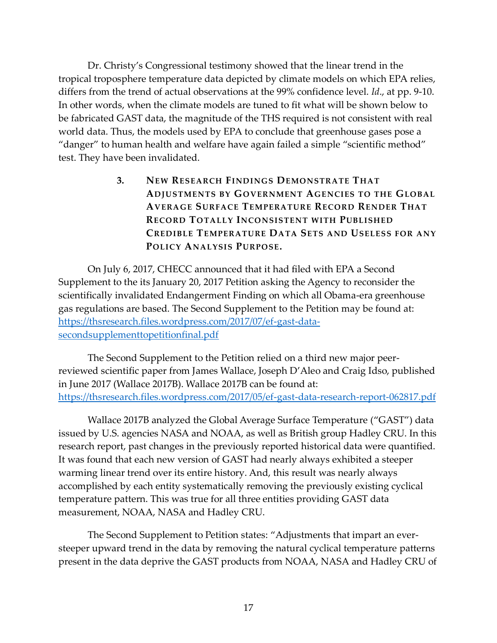Dr. Christy's Congressional testimony showed that the linear trend in the tropical troposphere temperature data depicted by climate models on which EPA relies, differs from the trend of actual observations at the 99% confidence level. *Id*., at pp. 9-10. In other words, when the climate models are tuned to fit what will be shown below to be fabricated GAST data, the magnitude of the THS required is not consistent with real world data. Thus, the models used by EPA to conclude that greenhouse gases pose a "danger" to human health and welfare have again failed a simple "scientific method" test. They have been invalidated.

> <span id="page-19-1"></span><span id="page-19-0"></span>**3. NEW RESEARCH FINDINGS DEMONSTRATE THAT ADJUSTMENTS BY GOVERNMENT AGENCIES TO THE GLOBAL AVERAGE SURFACE TEMPERATURE RECORD RENDER THAT RECORD TOTALLY INCONSISTENT WITH PUBLISHED CREDIBLE TEMPERATURE DATA SETS AND USELESS FOR ANY POLICY ANALYSIS PURPOSE.**

On July 6, 2017, CHECC announced that it had filed with EPA a Second Supplement to the its January 20, 2017 Petition asking the Agency to reconsider the scientifically invalidated Endangerment Finding on which all Obama-era greenhouse gas regulations are based. The Second Supplement to the Petition may be found at: [https://thsresearch.files.wordpress.com/2017/07/ef-gast-data](https://thsresearch.files.wordpress.com/2017/07/ef-gast-data-secondsupplementtopetitionfinal.pdf)[secondsupplementtopetitionfinal.pdf](https://thsresearch.files.wordpress.com/2017/07/ef-gast-data-secondsupplementtopetitionfinal.pdf)

The Second Supplement to the Petition relied on a third new major peerreviewed scientific paper from James Wallace, Joseph D'Aleo and Craig Idso, published in June 2017 (Wallace 2017B). Wallace 2017B can be found at: <https://thsresearch.files.wordpress.com/2017/05/ef-gast-data-research-report-062817.pdf>

Wallace 2017B analyzed the Global Average Surface Temperature ("GAST") data issued by U.S. agencies NASA and NOAA, as well as British group Hadley CRU. In this research report, past changes in the previously reported historical data were quantified. It was found that each new version of GAST had nearly always exhibited a steeper warming linear trend over its entire history. And, this result was nearly always accomplished by each entity systematically removing the previously existing cyclical temperature pattern. This was true for all three entities providing GAST data measurement, NOAA, NASA and Hadley CRU.

The Second Supplement to Petition states: "Adjustments that impart an eversteeper upward trend in the data by removing the natural cyclical temperature patterns present in the data deprive the GAST products from NOAA, NASA and Hadley CRU of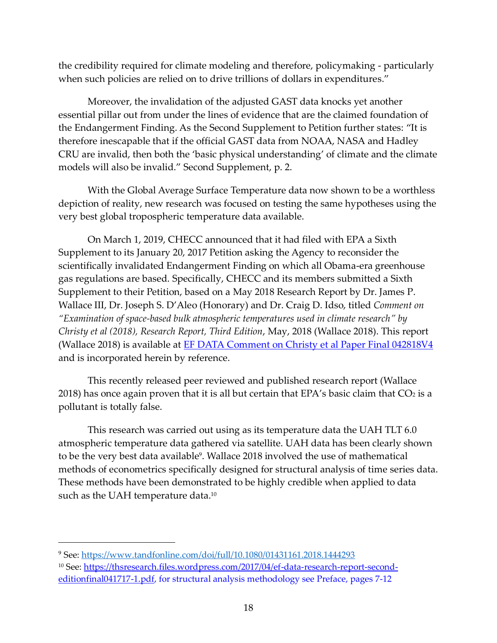the credibility required for climate modeling and therefore, policymaking - particularly when such policies are relied on to drive trillions of dollars in expenditures."

Moreover, the invalidation of the adjusted GAST data knocks yet another essential pillar out from under the lines of evidence that are the claimed foundation of the Endangerment Finding. As the Second Supplement to Petition further states: "It is therefore inescapable that if the official GAST data from NOAA, NASA and Hadley CRU are invalid, then both the 'basic physical understanding' of climate and the climate models will also be invalid." Second Supplement, p. 2.

With the Global Average Surface Temperature data now shown to be a worthless depiction of reality, new research was focused on testing the same hypotheses using the very best global tropospheric temperature data available.

On March 1, 2019, CHECC announced that it had filed with EPA a Sixth Supplement to its January 20, 2017 Petition asking the Agency to reconsider the scientifically invalidated Endangerment Finding on which all Obama-era greenhouse gas regulations are based. Specifically, CHECC and its members submitted a Sixth Supplement to their Petition, based on a May 2018 Research Report by Dr. James P. Wallace III, Dr. Joseph S. D'Aleo (Honorary) and Dr. Craig D. Idso, titled *Comment on "Examination of space-based bulk atmospheric temperatures used in climate research" by Christy et al (2018), Research Report, Third Edition*, May, 2018 (Wallace 2018). This report (Wallace 2018) is available at [EF DATA Comment on Christy et al Paper Final 042818V4](https://thsresearch.files.wordpress.com/2018/03/ef-data-comment-on-christy-et-al-paper-final-042818v4.pdf)  and is incorporated herein by reference.

This recently released peer reviewed and published research report (Wallace 2018) has once again proven that it is all but certain that EPA's basic claim that  $CO<sub>2</sub>$  is a pollutant is totally false.

This research was carried out using as its temperature data the UAH TLT 6.0 atmospheric temperature data gathered via satellite. UAH data has been clearly shown to be the very best data available<sup>9</sup>. Wallace 2018 involved the use of mathematical methods of econometrics specifically designed for structural analysis of time series data. These methods have been demonstrated to be highly credible when applied to data such as the UAH temperature data. $^{10}$ 

<sup>9</sup> See:<https://www.tandfonline.com/doi/full/10.1080/01431161.2018.1444293>

<sup>&</sup>lt;sup>10</sup> See: [https://thsresearch.files.wordpress.com/2017/04/ef-data-research-report-second](https://thsresearch.files.wordpress.com/2017/04/ef-data-research-report-second-editionfinal041717-1.pdf)[editionfinal041717-1.pdf,](https://thsresearch.files.wordpress.com/2017/04/ef-data-research-report-second-editionfinal041717-1.pdf) for structural analysis methodology see Preface, pages 7-12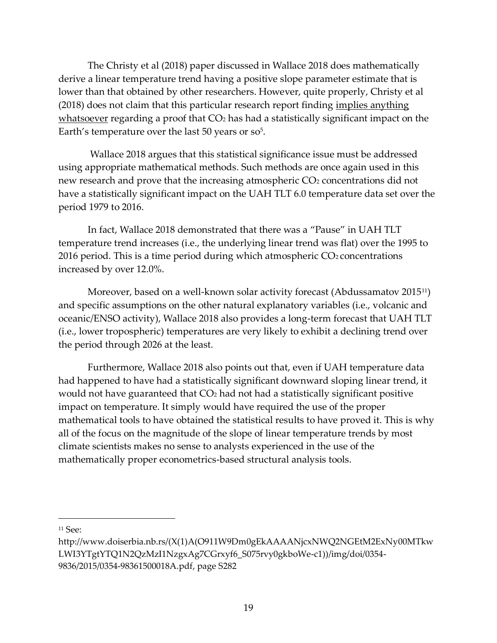The Christy et al (2018) paper discussed in Wallace 2018 does mathematically derive a linear temperature trend having a positive slope parameter estimate that is lower than that obtained by other researchers. However, quite properly, Christy et al (2018) does not claim that this particular research report finding implies anything whatsoever regarding a proof that CO<sub>2</sub> has had a statistically significant impact on the Earth's temperature over the last  $50$  years or  $so<sup>5</sup>$ .

Wallace 2018 argues that this statistical significance issue must be addressed using appropriate mathematical methods. Such methods are once again used in this new research and prove that the increasing atmospheric CO<sub>2</sub> concentrations did not have a statistically significant impact on the UAH TLT 6.0 temperature data set over the period 1979 to 2016.

In fact, Wallace 2018 demonstrated that there was a "Pause" in UAH TLT temperature trend increases (i.e., the underlying linear trend was flat) over the 1995 to 2016 period. This is a time period during which atmospheric  $CO<sub>2</sub>$  concentrations increased by over 12.0%.

Moreover, based on a well-known solar activity forecast (Abdussamatov 2015<sup>11</sup>) and specific assumptions on the other natural explanatory variables (i.e., volcanic and oceanic/ENSO activity), Wallace 2018 also provides a long-term forecast that UAH TLT (i.e., lower tropospheric) temperatures are very likely to exhibit a declining trend over the period through 2026 at the least.

Furthermore, Wallace 2018 also points out that, even if UAH temperature data had happened to have had a statistically significant downward sloping linear trend, it would not have guaranteed that CO<sub>2</sub> had not had a statistically significant positive impact on temperature. It simply would have required the use of the proper mathematical tools to have obtained the statistical results to have proved it. This is why all of the focus on the magnitude of the slope of linear temperature trends by most climate scientists makes no sense to analysts experienced in the use of the mathematically proper econometrics-based structural analysis tools.

<sup>11</sup> See:

 $\overline{a}$ 

[http://www.doiserbia.nb.rs/\(X\(1\)A\(O911W9Dm0gEkAAAANjcxNWQ2NGEtM2ExNy00MTkw](http://www.doiserbia.nb.rs/(X(1)A(O911W9Dm0gEkAAAANjcxNWQ2NGEtM2ExNy00MTkwLWI3YTgtYTQ1N2QzMzI1NzgxAg7CGrxyf6_S075rvy0gkboWe-c1))/img/doi/0354-9836/2015/0354-98361500018A.pdf) [LWI3YTgtYTQ1N2QzMzI1NzgxAg7CGrxyf6\\_S075rvy0gkboWe-c1\)\)/img/doi/0354-](http://www.doiserbia.nb.rs/(X(1)A(O911W9Dm0gEkAAAANjcxNWQ2NGEtM2ExNy00MTkwLWI3YTgtYTQ1N2QzMzI1NzgxAg7CGrxyf6_S075rvy0gkboWe-c1))/img/doi/0354-9836/2015/0354-98361500018A.pdf) [9836/2015/0354-98361500018A.pdf,](http://www.doiserbia.nb.rs/(X(1)A(O911W9Dm0gEkAAAANjcxNWQ2NGEtM2ExNy00MTkwLWI3YTgtYTQ1N2QzMzI1NzgxAg7CGrxyf6_S075rvy0gkboWe-c1))/img/doi/0354-9836/2015/0354-98361500018A.pdf) page S282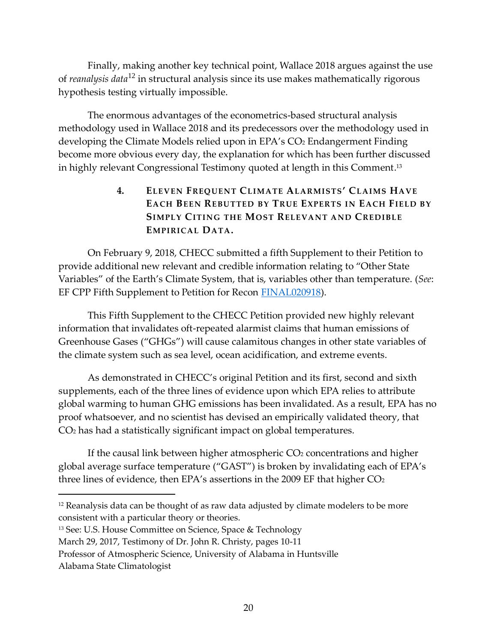Finally, making another key technical point, Wallace 2018 argues against the use of *reanalysis data*<sup>12</sup> in structural analysis since its use makes mathematically rigorous hypothesis testing virtually impossible.

The enormous advantages of the econometrics-based structural analysis methodology used in Wallace 2018 and its predecessors over the methodology used in developing the Climate Models relied upon in EPA's CO2 Endangerment Finding become more obvious every day, the explanation for which has been further discussed in highly relevant Congressional Testimony quoted at length in this Comment. 13

## <span id="page-22-1"></span><span id="page-22-0"></span>**4. ELEVEN FREQUENT CLIMATE ALARMISTS' CLAIMS HAVE EACH BEEN REBUTTED BY TRUE EXPERTS IN EACH FIELD BY SIMPLY CITING THE MOST RELEVANT AND CREDIBLE EMPIRICAL DATA.**

On February 9, 2018, CHECC submitted a fifth Supplement to their Petition to provide additional new relevant and credible information relating to "Other State Variables" of the Earth's Climate System, that is, variables other than temperature. (*See*: [EF CPP Fifth Supplement to Petition for Recon FINAL020918\)](https://thsresearch.files.wordpress.com/2018/02/ef-cpp-fifth-supplement-to-petition-for-recon0d0a-final020918.pdf).

This Fifth Supplement to the CHECC Petition provided new highly relevant information that invalidates oft-repeated alarmist claims that human emissions of Greenhouse Gases ("GHGs") will cause calamitous changes in other state variables of the climate system such as sea level, ocean acidification, and extreme events.

As demonstrated in CHECC's original Petition and its first, second and sixth supplements, each of the three lines of evidence upon which EPA relies to attribute global warming to human GHG emissions has been invalidated. As a result, EPA has no proof whatsoever, and no scientist has devised an empirically validated theory, that CO<sup>2</sup> has had a statistically significant impact on global temperatures.

If the causal link between higher atmospheric  $CO<sub>2</sub>$  concentrations and higher global average surface temperature ("GAST") is broken by invalidating each of EPA's three lines of evidence, then EPA's assertions in the 2009 EF that higher CO<sup>2</sup>

March 29, 2017, Testimony of Dr. John R. Christy, pages 10-11

 $12$  Reanalysis data can be thought of as raw data adjusted by climate modelers to be more consistent with a particular theory or theories.

<sup>&</sup>lt;sup>13</sup> See: U.S. House Committee on Science, Space & Technology

Professor of Atmospheric Science, University of Alabama in Huntsville

Alabama State Climatologist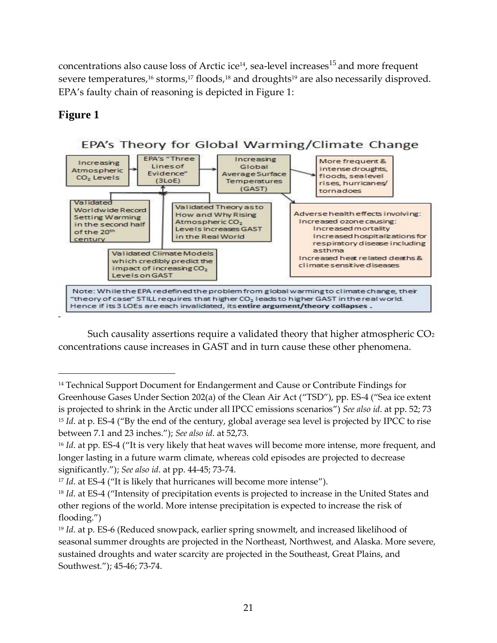<span id="page-23-1"></span><span id="page-23-0"></span>concentrations also cause loss of Arctic ice<sup>14</sup>, sea-level increases<sup>15</sup> and more frequent severe temperatures,<sup>16</sup> storms,<sup>17</sup> floods,<sup>18</sup> and droughts<sup>19</sup> are also necessarily disproved. EPA's faulty chain of reasoning is depicted in Figure 1:

## **Figure 1**

 $\overline{a}$ 



Such causality assertions require a validated theory that higher atmospheric CO<sub>2</sub> concentrations cause increases in GAST and in turn cause these other phenomena.

<sup>&</sup>lt;sup>14</sup> Technical Support Document for Endangerment and Cause or Contribute Findings for Greenhouse Gases Under Section 202(a) of the Clean Air Act ("TSD"), pp. ES-4 ("Sea ice extent is projected to shrink in the Arctic under all IPCC emissions scenarios") *See also id*. at pp. 52; 73 <sup>15</sup> *Id.* at p. ES-4 ("By the end of the century, global average sea level is projected by IPCC to rise between 7.1 and 23 inches."); *See also id*. at 52,73.

<sup>&</sup>lt;sup>16</sup> *Id*. at pp. ES-4 ("It is very likely that heat waves will become more intense, more frequent, and longer lasting in a future warm climate, whereas cold episodes are projected to decrease significantly."); *See also id*. at pp. 44-45; 73-74.

<sup>&</sup>lt;sup>17</sup> *Id.* at ES-4 ("It is likely that hurricanes will become more intense").

<sup>&</sup>lt;sup>18</sup> *Id.* at ES-4 ("Intensity of precipitation events is projected to increase in the United States and other regions of the world. More intense precipitation is expected to increase the risk of flooding.")

<sup>19</sup> *Id*. at p. ES-6 (Reduced snowpack, earlier spring snowmelt, and increased likelihood of seasonal summer droughts are projected in the Northeast, Northwest, and Alaska. More severe, sustained droughts and water scarcity are projected in the Southeast, Great Plains, and Southwest."); 45-46; 73-74.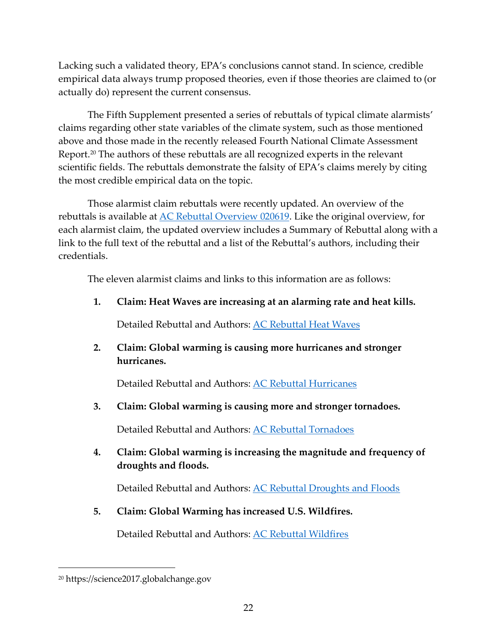Lacking such a validated theory, EPA's conclusions cannot stand. In science, credible empirical data always trump proposed theories, even if those theories are claimed to (or actually do) represent the current consensus.

The Fifth Supplement presented a series of rebuttals of typical climate alarmists' claims regarding other state variables of the climate system, such as those mentioned above and those made in the recently released Fourth National Climate Assessment Report.<sup>20</sup> The authors of these rebuttals are all recognized experts in the relevant scientific fields. The rebuttals demonstrate the falsity of EPA's claims merely by citing the most credible empirical data on the topic.

Those alarmist c[laim rebuttals were recently up](https://alarmistclaimresearch.files.wordpress.com/2019/02/ac-rebuttal-overview-020619-4.pdf)dated. An overview of the rebuttals is available at [AC Rebuttal Overview 020619.](https://alarmistclaimresearch.files.wordpress.com/2019/02/ac-rebuttal-overview-020619-4.pdf) Like the original overview, for each alarmist claim, the updated overview includes a Summary of Rebuttal along with a link to the full text of the rebuttal and a list of the Rebuttal's authors, including their credentials.

The eleven alarmist claims and links to this information are as follows:

**1. Claim: Heat Waves are increas[ing at an alarming rate an](https://alarmistclaimresearch.files.wordpress.com/2019/02/ac-rebuttals-heat-waves-020519.pdf)d heat kills.**

Detailed Rebuttal and Authors: [AC Rebuttal Heat Waves](https://alarmistclaimresearch.files.wordpress.com/2019/02/ac-rebuttals-heat-waves-020519.pdf)

**2. Claim: Global warming is causing more hurricanes and stronger hurricanes.**

Detailed Rebuttal and Authors: [AC Rebuttal Hurricanes](https://alarmistclaimresearch.files.wordpress.com/2019/02/ac-rebuttal-hurricanes-020519.pdf)

**3. Claim: Global warming is cau[sing more and stronger t](https://alarmistclaimresearch.files.wordpress.com/2019/02/ac-rebuttal-tornadoes-020519.pdf)ornadoes.**

Detailed Rebuttal and Authors: [AC Rebuttal Tornadoes](https://alarmistclaimresearch.files.wordpress.com/2019/02/ac-rebuttal-tornadoes-020519.pdf)

**4. Claim: Global warming is increasing the magnitude and frequency of droughts and floods.**

Detailed Rebuttal and Authors: [AC Rebuttal Droughts and Floods](https://alarmistclaimresearch.files.wordpress.com/2019/02/ac-rebuttal-droughts-and-floods-020519.pdf)

**5. Claim: Global Warming has in[creased U.S. Wildfires](https://alarmistclaimresearch.files.wordpress.com/2019/02/ac-rebuttal-wildfires-020619.pdf).**

Detailed Rebuttal and Authors: [AC Rebuttal Wildfires](https://alarmistclaimresearch.files.wordpress.com/2019/02/ac-rebuttal-wildfires-020619.pdf)

<sup>20</sup> https://science2017.globalchange.gov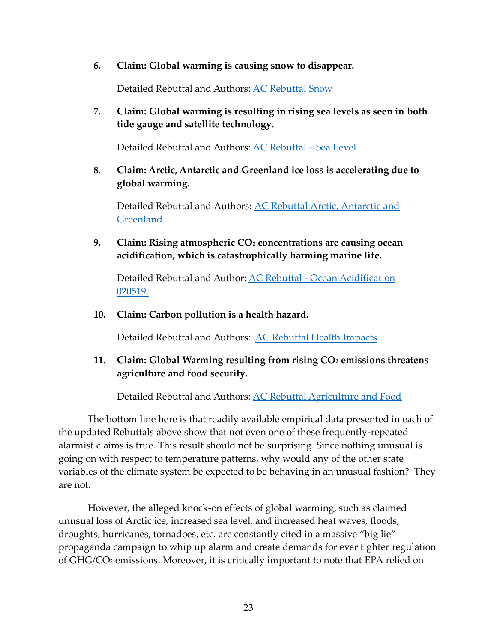**6. Claim: Global warming is causing snow to disappear.**

Detailed Rebuttal and Authors: [AC Rebuttal Snow](https://alarmistclaimresearch.files.wordpress.com/2019/02/ac-rebuttal-snow-020519.pdf)

**7. Claim: Global warming is resulting in rising sea levels as seen in both tide gauge and satellite technology.**

Detailed Rebuttal and Authors: [AC Rebuttal –](https://alarmistclaimresearch.files.wordpress.com/2019/02/ac-rebuttal-sea-level-020519.pdf) Sea Level

**8. Claim: Arctic, Antarctic and Greenland ice loss is accelerating due to global warming.**

Detailed Rebuttal and Authors: [AC Rebuttal Arctic, Antarctic and](https://alarmistclaimresearch.files.wordpress.com/2019/02/ac-rebuttal-arctic-antarctic-and-greenland-020519.pdf)  **[Greenland](https://alarmistclaimresearch.files.wordpress.com/2019/02/ac-rebuttal-arctic-antarctic-and-greenland-020519.pdf)** 

**9. Claim: Rising atmospheric CO<sup>2</sup> concentrations are causing ocean acidification, which is catastrophically harming marine life.**

Detailed Rebuttal and Author: AC Rebuttal - [Ocean Acidification](https://alarmistclaimresearch.files.wordpress.com/2019/02/ac-rebuttal-ocean-ph-020519.pdf)  [020519.](https://alarmistclaimresearch.files.wordpress.com/2019/02/ac-rebuttal-ocean-ph-020519.pdf)

**10. Claim: Carbon pollution is a health hazard.**

Detailed Rebuttal and Authors: [AC Rebuttal Health Impacts](https://alarmistclaimresearch.files.wordpress.com/2019/02/ac-rebuttal-health-impacts-020519-.pdf)

**11. Claim: Global Warming resulting from rising CO<sup>2</sup> emissions threatens agriculture and food security.** 

Detailed Rebuttal and Authors: [AC Rebuttal Agriculture and Food](https://alarmistclaimresearch.files.wordpress.com/2019/02/ac-rebuttal-agriculture-and-naturalecosystems_idso020619jp.pdf)

The bottom line here is that readily available empirical data presented in each of the updated Rebuttals above show that not even one of these frequently-repeated alarmist claims is true. This result should not be surprising. Since nothing unusual is going on with respect to temperature patterns, why would any of the other state variables of the climate system be expected to be behaving in an unusual fashion? They are not.

However, the alleged knock-on effects of global warming, such as claimed unusual loss of Arctic ice, increased sea level, and increased heat waves, floods, droughts, hurricanes, tornadoes, etc. are constantly cited in a massive "big lie" propaganda campaign to whip up alarm and create demands for ever tighter regulation of GHG/CO<sup>2</sup> emissions. Moreover, it is critically important to note that EPA relied on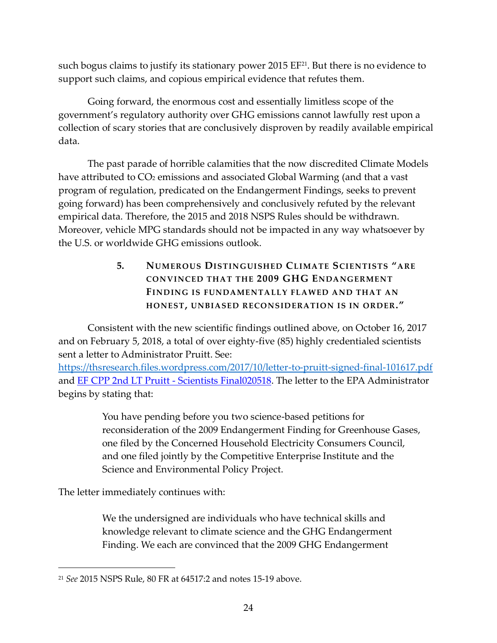such bogus claims to justify its stationary power 2015 EF<sup>21</sup>. But there is no evidence to support such claims, and copious empirical evidence that refutes them.

Going forward, the enormous cost and essentially limitless scope of the government's regulatory authority over GHG emissions cannot lawfully rest upon a collection of scary stories that are conclusively disproven by readily available empirical data.

The past parade of horrible calamities that the now discredited Climate Models have attributed to CO<sub>2</sub> emissions and associated Global Warming (and that a vast program of regulation, predicated on the Endangerment Findings, seeks to prevent going forward) has been comprehensively and conclusively refuted by the relevant empirical data. Therefore, the 2015 and 2018 NSPS Rules should be withdrawn. Moreover, vehicle MPG standards should not be impacted in any way whatsoever by the U.S. or worldwide GHG emissions outlook.

## <span id="page-26-1"></span><span id="page-26-0"></span>**5. NUMEROUS DISTINGUISHED CLIMATE SCIENTISTS "ARE CONVINCED THAT THE 2009 GHG ENDANGERMENT FINDING IS FUNDAMENTALLY FLAWED AND THAT AN HONEST, UNBIASED RECONSIDERATION IS IN ORDER."**

Consistent with the new scientific findings outlined above, on October 16, 2017 and on February 5, 2018, a total of over eighty-five (85) highly credentialed scientists sent a letter to Administrator Pruitt. See:

<https://thsresearch.files.wordpress.com/2017/10/letter-to-pruitt-signed-final-101617.pdf> and **[EF CPP 2nd LT Pruitt -](https://thsresearch.files.wordpress.com/2018/02/ef-cpp-2nd-lt-pruitt-scientists-final020518.pdf) Scientists Final020518**. The letter to the EPA Administrator begins by stating that:

> You have pending before you two science-based petitions for reconsideration of the 2009 Endangerment Finding for Greenhouse Gases, one filed by the Concerned Household Electricity Consumers Council, and one filed jointly by the Competitive Enterprise Institute and the Science and Environmental Policy Project.

The letter immediately continues with:

 $\overline{a}$ 

We the undersigned are individuals who have technical skills and knowledge relevant to climate science and the GHG Endangerment Finding. We each are convinced that the 2009 GHG Endangerment

<sup>21</sup> *See* 2015 NSPS Rule, 80 FR at 64517:2 and notes [15](#page-23-0)[-19](#page-23-1) above.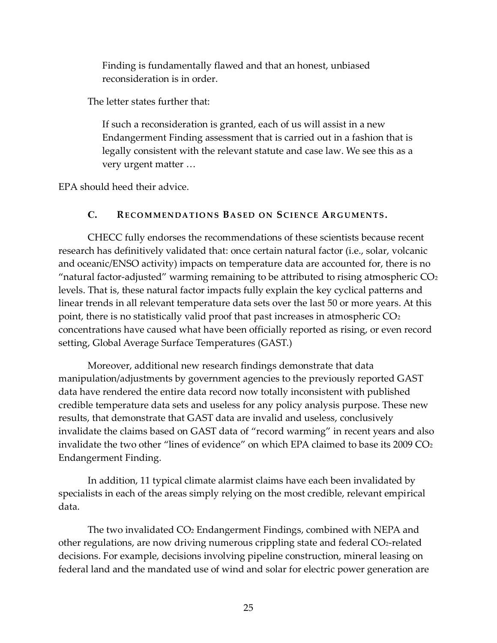Finding is fundamentally flawed and that an honest, unbiased reconsideration is in order.

The letter states further that:

<span id="page-27-1"></span>If such a reconsideration is granted, each of us will assist in a new Endangerment Finding assessment that is carried out in a fashion that is legally consistent with the relevant statute and case law. We see this as a very urgent matter …

<span id="page-27-0"></span>EPA should heed their advice.

#### **C. RE CO M M EN DA TIO N S BA S ED ON SCI EN CE AR G U M EN TS.**

CHECC fully endorses the recommendations of these scientists because recent research has definitively validated that: once certain natural factor (i.e., solar, volcanic and oceanic/ENSO activity) impacts on temperature data are accounted for, there is no "natural factor-adjusted" warming remaining to be attributed to rising atmospheric  $CO<sub>2</sub>$ levels. That is, these natural factor impacts fully explain the key cyclical patterns and linear trends in all relevant temperature data sets over the last 50 or more years. At this point, there is no statistically valid proof that past increases in atmospheric CO<sub>2</sub> concentrations have caused what have been officially reported as rising, or even record setting, Global Average Surface Temperatures (GAST.)

Moreover, additional new research findings demonstrate that data manipulation/adjustments by government agencies to the previously reported GAST data have rendered the entire data record now totally inconsistent with published credible temperature data sets and useless for any policy analysis purpose. These new results, that demonstrate that GAST data are invalid and useless, conclusively invalidate the claims based on GAST data of "record warming" in recent years and also invalidate the two other "lines of evidence" on which EPA claimed to base its  $2009 \text{ CO}_2$ Endangerment Finding.

In addition, 11 typical climate alarmist claims have each been invalidated by specialists in each of the areas simply relying on the most credible, relevant empirical data.

The two invalidated CO<sub>2</sub> Endangerment Findings, combined with NEPA and other regulations, are now driving numerous crippling state and federal CO2-related decisions. For example, decisions involving pipeline construction, mineral leasing on federal land and the mandated use of wind and solar for electric power generation are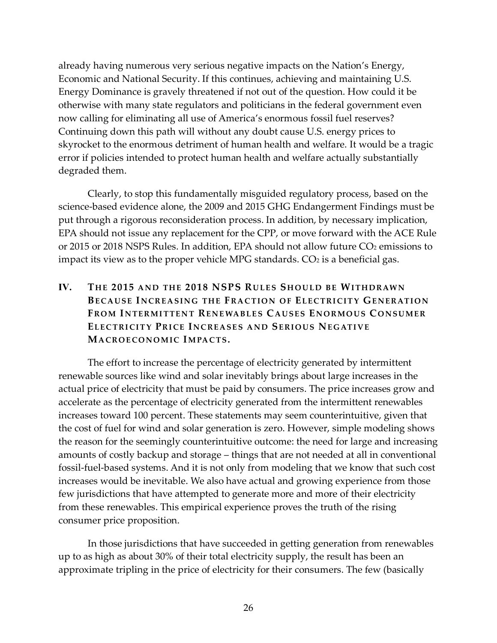already having numerous very serious negative impacts on the Nation's Energy, Economic and National Security. If this continues, achieving and maintaining U.S. Energy Dominance is gravely threatened if not out of the question. How could it be otherwise with many state regulators and politicians in the federal government even now calling for eliminating all use of America's enormous fossil fuel reserves? Continuing down this path will without any doubt cause U.S. energy prices to skyrocket to the enormous detriment of human health and welfare. It would be a tragic error if policies intended to protect human health and welfare actually substantially degraded them.

Clearly, to stop this fundamentally misguided regulatory process, based on the science-based evidence alone, the 2009 and 2015 GHG Endangerment Findings must be put through a rigorous reconsideration process. In addition, by necessary implication, EPA should not issue any replacement for the CPP, or move forward with the ACE Rule or 2015 or 2018 NSPS Rules. In addition, EPA should not allow future CO<sub>2</sub> emissions to impact its view as to the proper vehicle MPG standards.  $CO<sub>2</sub>$  is a beneficial gas.

### <span id="page-28-0"></span>**IV. TH E 2015 A N D TH E 2018 NSPS RU L E S SH O U L D B E WI TH D R AW N BECAUSE INCREASING THE FRACTION OF ELECTRICITY GENERATION FR O M I N TE R M I TTE N T RE N E WA B L E S CA U S E S EN O R M O U S C O N S U M E R ELECTRICITY PRICE INCREASES AND SERIOUS NEGATIVE MA CR O E CO N O M I C IM PA C TS.**

<span id="page-28-1"></span>The effort to increase the percentage of electricity generated by intermittent renewable sources like wind and solar inevitably brings about large increases in the actual price of electricity that must be paid by consumers. The price increases grow and accelerate as the percentage of electricity generated from the intermittent renewables increases toward 100 percent. These statements may seem counterintuitive, given that the cost of fuel for wind and solar generation is zero. However, simple modeling shows the reason for the seemingly counterintuitive outcome: the need for large and increasing amounts of costly backup and storage – things that are not needed at all in conventional fossil-fuel-based systems. And it is not only from modeling that we know that such cost increases would be inevitable. We also have actual and growing experience from those few jurisdictions that have attempted to generate more and more of their electricity from these renewables. This empirical experience proves the truth of the rising consumer price proposition.

In those jurisdictions that have succeeded in getting generation from renewables up to as high as about 30% of their total electricity supply, the result has been an approximate tripling in the price of electricity for their consumers. The few (basically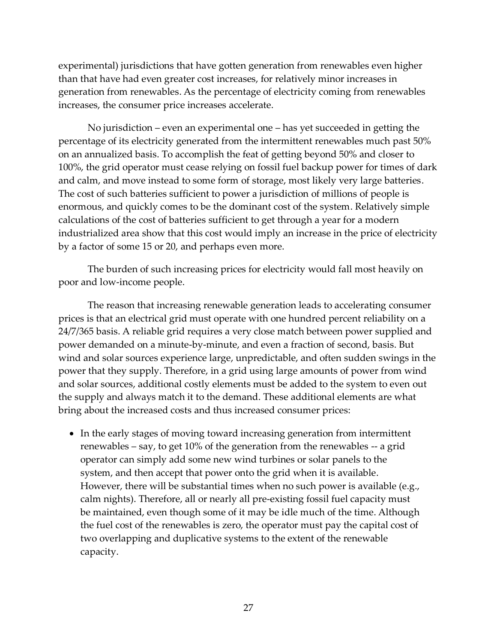experimental) jurisdictions that have gotten generation from renewables even higher than that have had even greater cost increases, for relatively minor increases in generation from renewables. As the percentage of electricity coming from renewables increases, the consumer price increases accelerate.

No jurisdiction – even an experimental one – has yet succeeded in getting the percentage of its electricity generated from the intermittent renewables much past 50% on an annualized basis. To accomplish the feat of getting beyond 50% and closer to 100%, the grid operator must cease relying on fossil fuel backup power for times of dark and calm, and move instead to some form of storage, most likely very large batteries. The cost of such batteries sufficient to power a jurisdiction of millions of people is enormous, and quickly comes to be the dominant cost of the system. Relatively simple calculations of the cost of batteries sufficient to get through a year for a modern industrialized area show that this cost would imply an increase in the price of electricity by a factor of some 15 or 20, and perhaps even more.

The burden of such increasing prices for electricity would fall most heavily on poor and low-income people.

The reason that increasing renewable generation leads to accelerating consumer prices is that an electrical grid must operate with one hundred percent reliability on a 24/7/365 basis. A reliable grid requires a very close match between power supplied and power demanded on a minute-by-minute, and even a fraction of second, basis. But wind and solar sources experience large, unpredictable, and often sudden swings in the power that they supply. Therefore, in a grid using large amounts of power from wind and solar sources, additional costly elements must be added to the system to even out the supply and always match it to the demand. These additional elements are what bring about the increased costs and thus increased consumer prices:

• In the early stages of moving toward increasing generation from intermittent renewables – say, to get 10% of the generation from the renewables -- a grid operator can simply add some new wind turbines or solar panels to the system, and then accept that power onto the grid when it is available. However, there will be substantial times when no such power is available (e.g., calm nights). Therefore, all or nearly all pre-existing fossil fuel capacity must be maintained, even though some of it may be idle much of the time. Although the fuel cost of the renewables is zero, the operator must pay the capital cost of two overlapping and duplicative systems to the extent of the renewable capacity.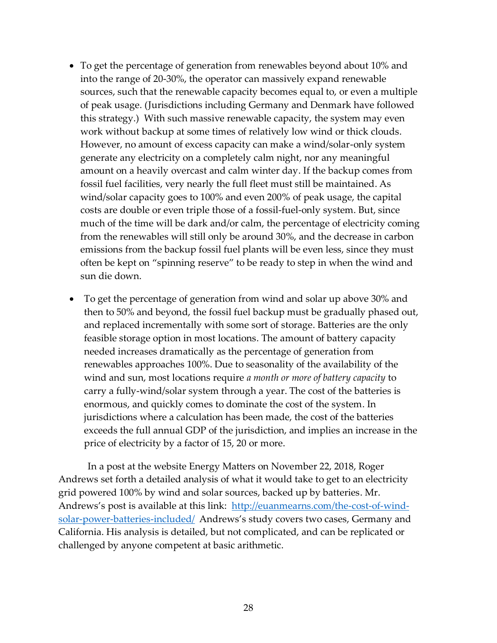- To get the percentage of generation from renewables beyond about 10% and into the range of 20-30%, the operator can massively expand renewable sources, such that the renewable capacity becomes equal to, or even a multiple of peak usage. (Jurisdictions including Germany and Denmark have followed this strategy.) With such massive renewable capacity, the system may even work without backup at some times of relatively low wind or thick clouds. However, no amount of excess capacity can make a wind/solar-only system generate any electricity on a completely calm night, nor any meaningful amount on a heavily overcast and calm winter day. If the backup comes from fossil fuel facilities, very nearly the full fleet must still be maintained. As wind/solar capacity goes to 100% and even 200% of peak usage, the capital costs are double or even triple those of a fossil-fuel-only system. But, since much of the time will be dark and/or calm, the percentage of electricity coming from the renewables will still only be around 30%, and the decrease in carbon emissions from the backup fossil fuel plants will be even less, since they must often be kept on "spinning reserve" to be ready to step in when the wind and sun die down.
- To get the percentage of generation from wind and solar up above 30% and then to 50% and beyond, the fossil fuel backup must be gradually phased out, and replaced incrementally with some sort of storage. Batteries are the only feasible storage option in most locations. The amount of battery capacity needed increases dramatically as the percentage of generation from renewables approaches 100%. Due to seasonality of the availability of the wind and sun, most locations require *a month or more of battery capacity* to carry a fully-wind/solar system through a year. The cost of the batteries is enormous, and quickly comes to dominate the cost of the system. In jurisdictions where a calculation has been made, the cost of the batteries exceeds the full annual GDP of the jurisdiction, and implies an increase in the price of electricity by a factor of 15, 20 or more.

In a post at the website Energy Matters on November 22, 2018, Roger Andrews set forth a detailed analysis of what it would take to get to an electricity grid powered 100% by wind and solar sources, backed up by batteries. Mr. Andrews's post is available at this link: [http://euanmearns.com/the-cost-of-wind](http://euanmearns.com/the-cost-of-wind-solar-power-batteries-included/)[solar-power-batteries-included/](http://euanmearns.com/the-cost-of-wind-solar-power-batteries-included/) Andrews's study covers two cases, Germany and California. His analysis is detailed, but not complicated, and can be replicated or challenged by anyone competent at basic arithmetic.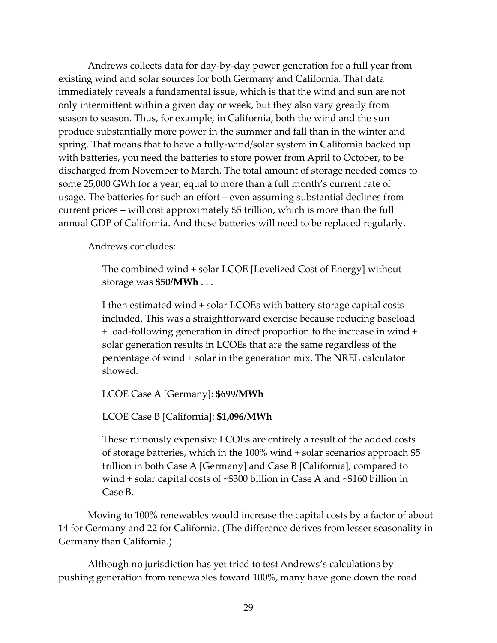Andrews collects data for day-by-day power generation for a full year from existing wind and solar sources for both Germany and California. That data immediately reveals a fundamental issue, which is that the wind and sun are not only intermittent within a given day or week, but they also vary greatly from season to season. Thus, for example, in California, both the wind and the sun produce substantially more power in the summer and fall than in the winter and spring. That means that to have a fully-wind/solar system in California backed up with batteries, you need the batteries to store power from April to October, to be discharged from November to March. The total amount of storage needed comes to some 25,000 GWh for a year, equal to more than a full month's current rate of usage. The batteries for such an effort – even assuming substantial declines from current prices – will cost approximately \$5 trillion, which is more than the full annual GDP of California. And these batteries will need to be replaced regularly.

Andrews concludes:

The combined wind + solar LCOE [Levelized Cost of Energy] without storage was **\$50/MWh** . . .

I then estimated wind + solar LCOEs with battery storage capital costs included. This was a straightforward exercise because reducing baseload + load-following generation in direct proportion to the increase in wind + solar generation results in LCOEs that are the same regardless of the percentage of wind + solar in the generation mix. The NREL calculator showed:

LCOE Case A [Germany]: **\$699/MWh**

LCOE Case B [California]: **\$1,096/MWh**

These ruinously expensive LCOEs are entirely a result of the added costs of storage batteries, which in the 100% wind + solar scenarios approach \$5 trillion in both Case A [Germany] and Case B [California], compared to wind + solar capital costs of ~\$300 billion in Case A and ~\$160 billion in Case B.

Moving to 100% renewables would increase the capital costs by a factor of about 14 for Germany and 22 for California. (The difference derives from lesser seasonality in Germany than California.)

Although no jurisdiction has yet tried to test Andrews's calculations by pushing generation from renewables toward 100%, many have gone down the road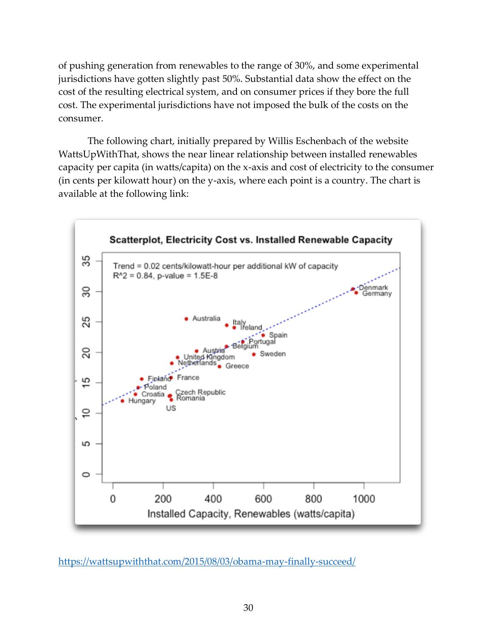of pushing generation from renewables to the range of 30%, and some experimental jurisdictions have gotten slightly past 50%. Substantial data show the effect on the cost of the resulting electrical system, and on consumer prices if they bore the full cost. The experimental jurisdictions have not imposed the bulk of the costs on the consumer.

The following chart, initially prepared by Willis Eschenbach of the website WattsUpWithThat, shows the near linear relationship between installed renewables capacity per capita (in watts/capita) on the x-axis and cost of electricity to the consumer (in cents per kilowatt hour) on the y-axis, where each point is a country. The chart is available at the following link:



<https://wattsupwiththat.com/2015/08/03/obama-may-finally-succeed/>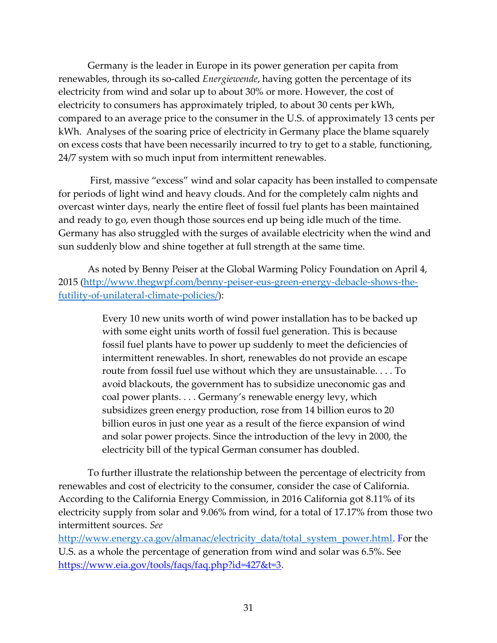Germany is the leader in Europe in its power generation per capita from renewables, through its so-called *Energiewende*, having gotten the percentage of its electricity from wind and solar up to about 30% or more. However, the cost of electricity to consumers has approximately tripled, to about 30 cents per kWh, compared to an average price to the consumer in the U.S. of approximately 13 cents per kWh. Analyses of the soaring price of electricity in Germany place the blame squarely on excess costs that have been necessarily incurred to try to get to a stable, functioning, 24/7 system with so much input from intermittent renewables.

First, massive "excess" wind and solar capacity has been installed to compensate for periods of light wind and heavy clouds. And for the completely calm nights and overcast winter days, nearly the entire fleet of fossil fuel plants has been maintained and ready to go, even though those sources end up being idle much of the time. Germany has also struggled with the surges of available electricity when the wind and sun suddenly blow and shine together at full strength at the same time.

As noted by Benny Peiser at the Global Warming Policy Foundation on April 4, 2015 [\(http://www.thegwpf.com/benny-peiser-eus-green-energy-debacle-shows-the](http://www.thegwpf.com/benny-peiser-eus-green-energy-debacle-shows-the-futility-of-unilateral-climate-policies/)[futility-of-unilateral-climate-policies/\)](http://www.thegwpf.com/benny-peiser-eus-green-energy-debacle-shows-the-futility-of-unilateral-climate-policies/):

> Every 10 new units worth of wind power installation has to be backed up with some eight units worth of fossil fuel generation. This is because fossil fuel plants have to power up suddenly to meet the deficiencies of intermittent renewables. In short, renewables do not provide an escape route from fossil fuel use without which they are unsustainable. . . . To avoid blackouts, the government has to subsidize uneconomic gas and coal power plants. . . . Germany's renewable energy levy, which subsidizes green energy production, rose from 14 billion euros to 20 billion euros in just one year as a result of the fierce expansion of wind and solar power projects. Since the introduction of the levy in 2000, the electricity bill of the typical German consumer has doubled.

To further illustrate the relationship between the percentage of electricity from renewables and cost of electricity to the consumer, consider the case of California. According to the California Energy Commission, in 2016 California got 8.11% of its electricity supply from solar and 9.06% from wind, for a total of 17.17% from those two intermittent sources. *See* 

[http://www.energy.ca.gov/almanac/electricity\\_data/total\\_system\\_power.html.](http://www.energy.ca.gov/almanac/electricity_data/total_system_power.html) For the U.S. as a whole the percentage of generation from wind and solar was 6.5%. See [https://www.eia.gov/tools/faqs/faq.php?id=427&t=3.](https://www.eia.gov/tools/faqs/faq.php?id=427&t=3)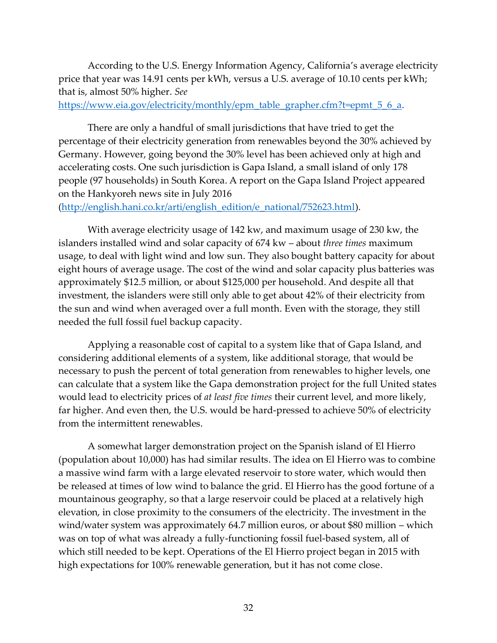According to the U.S. Energy Information Agency, California's average electricity price that year was 14.91 cents per kWh, versus a U.S. average of 10.10 cents per kWh; that is, almost 50% higher. *See* 

[https://www.eia.gov/electricity/monthly/epm\\_table\\_grapher.cfm?t=epmt\\_5\\_6\\_a.](https://www.eia.gov/electricity/monthly/epm_table_grapher.cfm?t=epmt_5_6_a)

There are only a handful of small jurisdictions that have tried to get the percentage of their electricity generation from renewables beyond the 30% achieved by Germany. However, going beyond the 30% level has been achieved only at high and accelerating costs. One such jurisdiction is Gapa Island, a small island of only 178 people (97 households) in South Korea. A report on the Gapa Island Project appeared on the Hankyoreh news site in July 2016

[\(http://english.hani.co.kr/arti/english\\_edition/e\\_national/752623.html\)](http://english.hani.co.kr/arti/english_edition/e_national/752623.html).

With average electricity usage of 142 kw, and maximum usage of 230 kw, the islanders installed wind and solar capacity of 674 kw – about *three times* maximum usage, to deal with light wind and low sun. They also bought battery capacity for about eight hours of average usage. The cost of the wind and solar capacity plus batteries was approximately \$12.5 million, or about \$125,000 per household. And despite all that investment, the islanders were still only able to get about 42% of their electricity from the sun and wind when averaged over a full month. Even with the storage, they still needed the full fossil fuel backup capacity.

Applying a reasonable cost of capital to a system like that of Gapa Island, and considering additional elements of a system, like additional storage, that would be necessary to push the percent of total generation from renewables to higher levels, one can calculate that a system like the Gapa demonstration project for the full United states would lead to electricity prices of *at least five times* their current level, and more likely, far higher. And even then, the U.S. would be hard-pressed to achieve 50% of electricity from the intermittent renewables.

A somewhat larger demonstration project on the Spanish island of El Hierro (population about 10,000) has had similar results. The idea on El Hierro was to combine a massive wind farm with a large elevated reservoir to store water, which would then be released at times of low wind to balance the grid. El Hierro has the good fortune of a mountainous geography, so that a large reservoir could be placed at a relatively high elevation, in close proximity to the consumers of the electricity. The investment in the wind/water system was approximately 64.7 million euros, or about \$80 million – which was on top of what was already a fully-functioning fossil fuel-based system, all of which still needed to be kept. Operations of the El Hierro project began in 2015 with high expectations for 100% renewable generation, but it has not come close.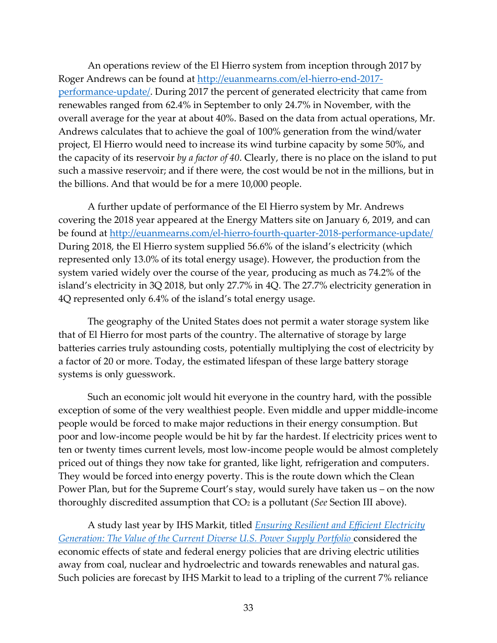An operations review of the El Hierro system from inception through 2017 by Roger Andrews can be found at [http://euanmearns.com/el-hierro-end-2017](http://euanmearns.com/el-hierro-end-2017-performance-update/) [performance-update/.](http://euanmearns.com/el-hierro-end-2017-performance-update/) During 2017 the percent of generated electricity that came from renewables ranged from 62.4% in September to only 24.7% in November, with the overall average for the year at about 40%. Based on the data from actual operations, Mr. Andrews calculates that to achieve the goal of 100% generation from the wind/water project, El Hierro would need to increase its wind turbine capacity by some 50%, and the capacity of its reservoir *by a factor of 40*. Clearly, there is no place on the island to put such a massive reservoir; and if there were, the cost would be not in the millions, but in the billions. And that would be for a mere 10,000 people.

A further update of performance of the El Hierro system by Mr. Andrews covering the 2018 year appeared at the Energy Matters site on January 6, 2019, and can be found at http://euanmearns.com/el-hierro-fourth-quarter-2018-performance-update/ During 2018, the El Hierro system supplied 56.6% of the island's electricity (which represented only 13.0% of its total energy usage). However, the production from the system varied widely over the course of the year, producing as much as 74.2% of the island's electricity in 3Q 2018, but only 27.7% in 4Q. The 27.7% electricity generation in 4Q represented only 6.4% of the island's total energy usage.

The geography of the United States does not permit a water storage system like that of El Hierro for most parts of the country. The alternative of storage by large batteries carries truly astounding costs, potentially multiplying the cost of electricity by a factor of 20 or more. Today, the estimated lifespan of these large battery storage systems is only guesswork.

Such an economic jolt would hit everyone in the country hard, with the possible exception of some of the very wealthiest people. Even middle and upper middle-income people would be forced to make major reductions in their energy consumption. But poor and low-income people would be hit by far the hardest. If electricity prices went to ten or twenty times current levels, most low-income people would be almost completely priced out of things they now take for granted, like light, refrigeration and computers. They would be forced into energy poverty. This is the route down which the Clean Power Plan, but for the Supreme Court's stay, would surely have taken us – on the now thoroughly discredited assumption that CO<sup>2</sup> is a pollutant (*See* Section [III](#page-11-1) [ab](#page-11-4)ove).

A study last year by IHS Markit, titled *[Ensuring Resilient and Efficient Electricity](http://cts.businesswire.com/ct/CT?id=smartlink&url=http%3A%2F%2Fihsmark.it%2FFezQ30feH62&esheet=51685859&newsitemid=20170919005418&lan=en-US&anchor=Ensuring+Resilient+and+Efficient+Electricity+Generation%3A+The+Value+of+the+Current+Diverse+U.S.+Power+Supply+Portfolio&index=2&md5=34aaec15581e644c35c7ea1561059608)  [Generation: The Value of the Current Diverse U.S. Power Supply Portfolio](http://cts.businesswire.com/ct/CT?id=smartlink&url=http%3A%2F%2Fihsmark.it%2FFezQ30feH62&esheet=51685859&newsitemid=20170919005418&lan=en-US&anchor=Ensuring+Resilient+and+Efficient+Electricity+Generation%3A+The+Value+of+the+Current+Diverse+U.S.+Power+Supply+Portfolio&index=2&md5=34aaec15581e644c35c7ea1561059608)* considered the economic effects of state and federal energy policies that are driving electric utilities away from coal, nuclear and hydroelectric and towards renewables and natural gas. Such policies are forecast by IHS Markit to lead to a tripling of the current 7% reliance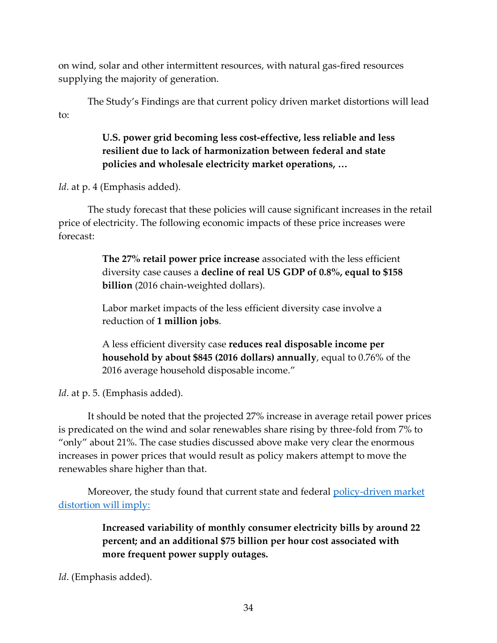on wind, solar and other intermittent resources, with natural gas-fired resources supplying the majority of generation.

The Study's Findings are that current policy driven market distortions will lead to:

### **U.S. power grid becoming less cost-effective, less reliable and less resilient due to lack of harmonization between federal and state policies and wholesale electricity market operations, …**

*Id*. at p. 4 (Emphasis added).

The study forecast that these policies will cause significant increases in the retail price of electricity. The following economic impacts of these price increases were forecast:

> **The 27% retail power price increase** associated with the less efficient diversity case causes a **decline of real US GDP of 0.8%, equal to \$158 billion** (2016 chain-weighted dollars).

Labor market impacts of the less efficient diversity case involve a reduction of **1 million jobs**.

A less efficient diversity case **reduces real disposable income per household by about \$845 (2016 dollars) annually**, equal to 0.76% of the 2016 average household disposable income."

*Id*. at p. 5. (Emphasis added).

It should be noted that the projected 27% increase in average retail power prices is predicated on the wind and solar renewables share rising by three-fold from 7% to "only" about 21%. The case studies discussed above make very clear the enormous increases in power prices that would result as policy makers attempt to move the renewables share higher than that.

Moreover, the study found that current state and federal policy-driven market distortion will imply:

> **Increased variability of monthly consumer electricity bills by around 22 percent; and an additional \$75 billion per hour cost associated with more frequent power supply outages.**

*Id*. (Emphasis added).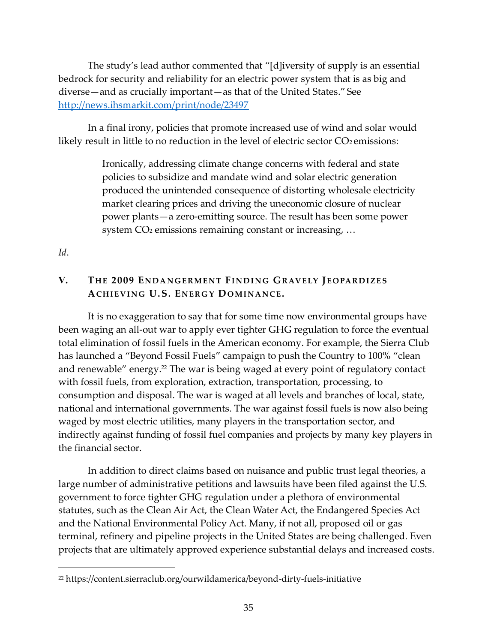The study's lead author commented that "[d]iversity of supply is an essential bedrock for security and reliability for an electric power system that is as big and diverse—and as crucially important—as that of the United States." See <http://news.ihsmarkit.com/print/node/23497>

In a final irony, policies that promote increased use of wind and solar would likely result in little to no reduction in the level of electric sector  $CO<sub>2</sub>$  emissions:

> <span id="page-37-1"></span>Ironically, addressing climate change concerns with federal and state policies to subsidize and mandate wind and solar electric generation produced the unintended consequence of distorting wholesale electricity market clearing prices and driving the uneconomic closure of nuclear power plants—a zero-emitting source. The result has been some power system CO<sub>2</sub> emissions remaining constant or increasing, ...

<span id="page-37-0"></span>*Id*.

 $\overline{a}$ 

#### **V. TH E 2009 EN D A N G E R M E N T FI N D I N G GR AV E LY JE O PA R D I ZE S ACH I E V I N G U.S. EN E R G Y DO M I N A N CE.**

It is no exaggeration to say that for some time now environmental groups have been waging an all-out war to apply ever tighter GHG regulation to force the eventual total elimination of fossil fuels in the American economy. For example, the Sierra Club has launched a "Beyond Fossil Fuels" campaign to push the Country to 100% "clean and renewable" energy.<sup>22</sup> The war is being waged at every point of regulatory contact with fossil fuels, from exploration, extraction, transportation, processing, to consumption and disposal. The war is waged at all levels and branches of local, state, national and international governments. The war against fossil fuels is now also being waged by most electric utilities, many players in the transportation sector, and indirectly against funding of fossil fuel companies and projects by many key players in the financial sector.

In addition to direct claims based on nuisance and public trust legal theories, a large number of administrative petitions and lawsuits have been filed against the U.S. government to force tighter GHG regulation under a plethora of environmental statutes, such as the Clean Air Act, the Clean Water Act, the Endangered Species Act and the National Environmental Policy Act. Many, if not all, proposed oil or gas terminal, refinery and pipeline projects in the United States are being challenged. Even projects that are ultimately approved experience substantial delays and increased costs.

<sup>22</sup> https://content.sierraclub.org/ourwildamerica/beyond-dirty-fuels-initiative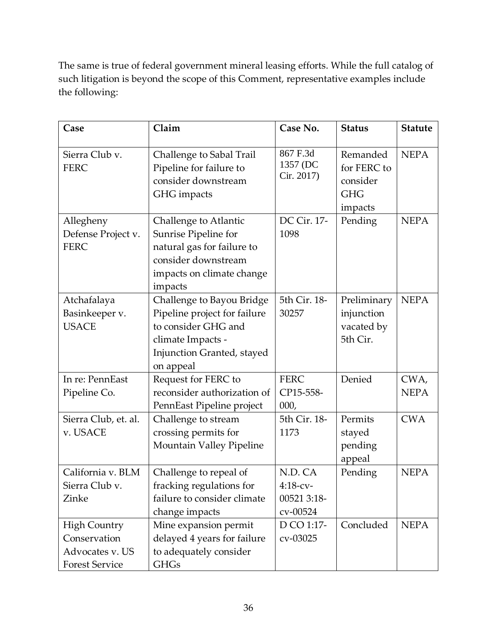The same is true of federal government mineral leasing efforts. While the full catalog of such litigation is beyond the scope of this Comment, representative examples include the following:

| Case                                                                            | Claim                                                                                                                                            | Case No.                                         | <b>Status</b>                                                | <b>Statute</b>      |
|---------------------------------------------------------------------------------|--------------------------------------------------------------------------------------------------------------------------------------------------|--------------------------------------------------|--------------------------------------------------------------|---------------------|
| Sierra Club v.<br><b>FERC</b>                                                   | Challenge to Sabal Trail<br>Pipeline for failure to<br>consider downstream<br>GHG impacts                                                        | 867 F.3d<br>1357 (DC<br>Cir. 2017)               | Remanded<br>for FERC to<br>consider<br><b>GHG</b><br>impacts | <b>NEPA</b>         |
| Allegheny<br>Defense Project v.<br><b>FERC</b>                                  | Challenge to Atlantic<br>Sunrise Pipeline for<br>natural gas for failure to<br>consider downstream<br>impacts on climate change<br>impacts       | DC Cir. 17-<br>1098                              | Pending                                                      | <b>NEPA</b>         |
| Atchafalaya<br>Basinkeeper v.<br><b>USACE</b>                                   | Challenge to Bayou Bridge<br>Pipeline project for failure<br>to consider GHG and<br>climate Impacts -<br>Injunction Granted, stayed<br>on appeal | 5th Cir. 18-<br>30257                            | Preliminary<br>injunction<br>vacated by<br>5th Cir.          | <b>NEPA</b>         |
| In re: PennEast<br>Pipeline Co.                                                 | Request for FERC to<br>reconsider authorization of<br>PennEast Pipeline project                                                                  | <b>FERC</b><br>CP15-558-<br>000,                 | Denied                                                       | CWA,<br><b>NEPA</b> |
| Sierra Club, et. al.<br>v. USACE                                                | Challenge to stream<br>crossing permits for<br>Mountain Valley Pipeline                                                                          | 5th Cir. 18-<br>1173                             | Permits<br>stayed<br>pending<br>appeal                       | <b>CWA</b>          |
| California v. BLM<br>Sierra Club v.<br>Zinke                                    | Challenge to repeal of<br>fracking regulations for<br>failure to consider climate<br>change impacts                                              | N.D. CA<br>$4:18-cv-$<br>00521 3:18-<br>cv-00524 | Pending                                                      | <b>NEPA</b>         |
| <b>High Country</b><br>Conservation<br>Advocates v. US<br><b>Forest Service</b> | Mine expansion permit<br>delayed 4 years for failure<br>to adequately consider<br><b>GHGs</b>                                                    | D CO 1:17-<br>cv-03025                           | Concluded                                                    | <b>NEPA</b>         |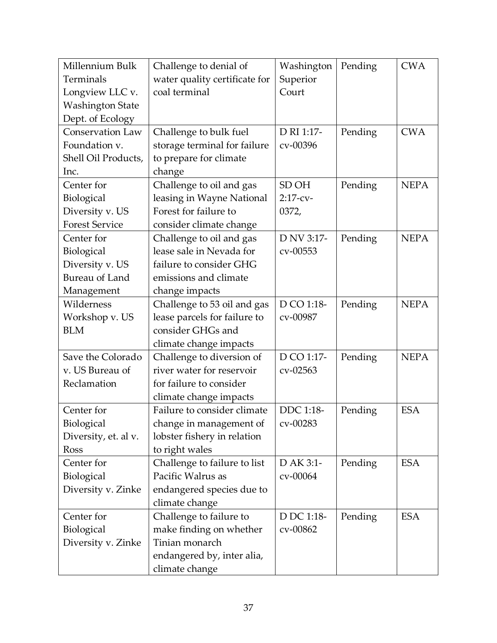| Millennium Bulk         | Challenge to denial of        | Washington | Pending | <b>CWA</b>  |
|-------------------------|-------------------------------|------------|---------|-------------|
| Terminals               | water quality certificate for | Superior   |         |             |
| Longview LLC v.         | coal terminal                 | Court      |         |             |
| <b>Washington State</b> |                               |            |         |             |
| Dept. of Ecology        |                               |            |         |             |
| Conservation Law        | Challenge to bulk fuel        | D RI 1:17- | Pending | <b>CWA</b>  |
| Foundation v.           | storage terminal for failure  | cv-00396   |         |             |
| Shell Oil Products,     | to prepare for climate        |            |         |             |
| Inc.                    | change                        |            |         |             |
| Center for              | Challenge to oil and gas      | SD OH      | Pending | <b>NEPA</b> |
| Biological              | leasing in Wayne National     | $2:17-cv-$ |         |             |
| Diversity v. US         | Forest for failure to         | 0372,      |         |             |
| <b>Forest Service</b>   | consider climate change       |            |         |             |
| Center for              | Challenge to oil and gas      | D NV 3:17- | Pending | <b>NEPA</b> |
| Biological              | lease sale in Nevada for      | cv-00553   |         |             |
| Diversity v. US         | failure to consider GHG       |            |         |             |
| <b>Bureau of Land</b>   | emissions and climate         |            |         |             |
| Management              | change impacts                |            |         |             |
| Wilderness              | Challenge to 53 oil and gas   | D CO 1:18- | Pending | <b>NEPA</b> |
| Workshop v. US          | lease parcels for failure to  | cv-00987   |         |             |
| <b>BLM</b>              | consider GHGs and             |            |         |             |
|                         | climate change impacts        |            |         |             |
| Save the Colorado       | Challenge to diversion of     | D CO 1:17- | Pending | <b>NEPA</b> |
| v. US Bureau of         | river water for reservoir     | cv-02563   |         |             |
| Reclamation             | for failure to consider       |            |         |             |
|                         | climate change impacts        |            |         |             |
| Center for              | Failure to consider climate   | DDC 1:18-  | Pending | <b>ESA</b>  |
| Biological              | change in management of       | cv-00283   |         |             |
| Diversity, et. al v.    | lobster fishery in relation   |            |         |             |
| <b>Ross</b>             | to right wales                |            |         |             |
| Center for              | Challenge to failure to list  | D AK 3:1-  | Pending | <b>ESA</b>  |
| Biological              | Pacific Walrus as             | cv-00064   |         |             |
| Diversity v. Zinke      | endangered species due to     |            |         |             |
|                         | climate change                |            |         |             |
| Center for              | Challenge to failure to       | D DC 1:18- | Pending | <b>ESA</b>  |
| Biological              | make finding on whether       | cv-00862   |         |             |
| Diversity v. Zinke      | Tinian monarch                |            |         |             |
|                         | endangered by, inter alia,    |            |         |             |
|                         | climate change                |            |         |             |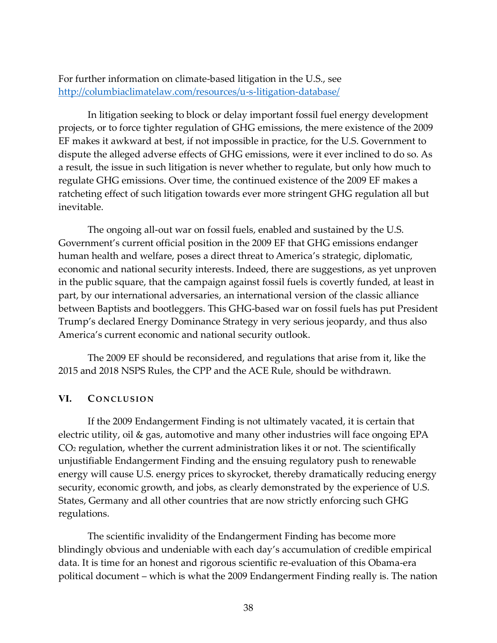For further information on climate-based litigation in the U.S., see <http://columbiaclimatelaw.com/resources/u-s-litigation-database/>

In litigation seeking to block or delay important fossil fuel energy development projects, or to force tighter regulation of GHG emissions, the mere existence of the 2009 EF makes it awkward at best, if not impossible in practice, for the U.S. Government to dispute the alleged adverse effects of GHG emissions, were it ever inclined to do so. As a result, the issue in such litigation is never whether to regulate, but only how much to regulate GHG emissions. Over time, the continued existence of the 2009 EF makes a ratcheting effect of such litigation towards ever more stringent GHG regulation all but inevitable.

The ongoing all-out war on fossil fuels, enabled and sustained by the U.S. Government's current official position in the 2009 EF that GHG emissions endanger human health and welfare, poses a direct threat to America's strategic, diplomatic, economic and national security interests. Indeed, there are suggestions, as yet unproven in the public square, that the campaign against fossil fuels is covertly funded, at least in part, by our international adversaries, an international version of the classic alliance between Baptists and bootleggers. This GHG-based war on fossil fuels has put President Trump's declared Energy Dominance Strategy in very serious jeopardy, and thus also America's current economic and national security outlook.

The 2009 EF should be reconsidered, and regulations that arise from it, like the 2015 and 2018 NSPS Rules, the CPP and the ACE Rule, should be withdrawn.

#### <span id="page-40-1"></span><span id="page-40-0"></span>**VI. CONCLUSION**

If the 2009 Endangerment Finding is not ultimately vacated, it is certain that electric utility, oil & gas, automotive and many other industries will face ongoing EPA CO<sup>2</sup> regulation, whether the current administration likes it or not. The scientifically unjustifiable Endangerment Finding and the ensuing regulatory push to renewable energy will cause U.S. energy prices to skyrocket, thereby dramatically reducing energy security, economic growth, and jobs, as clearly demonstrated by the experience of U.S. States, Germany and all other countries that are now strictly enforcing such GHG regulations.

The scientific invalidity of the Endangerment Finding has become more blindingly obvious and undeniable with each day's accumulation of credible empirical data. It is time for an honest and rigorous scientific re-evaluation of this Obama-era political document – which is what the 2009 Endangerment Finding really is. The nation